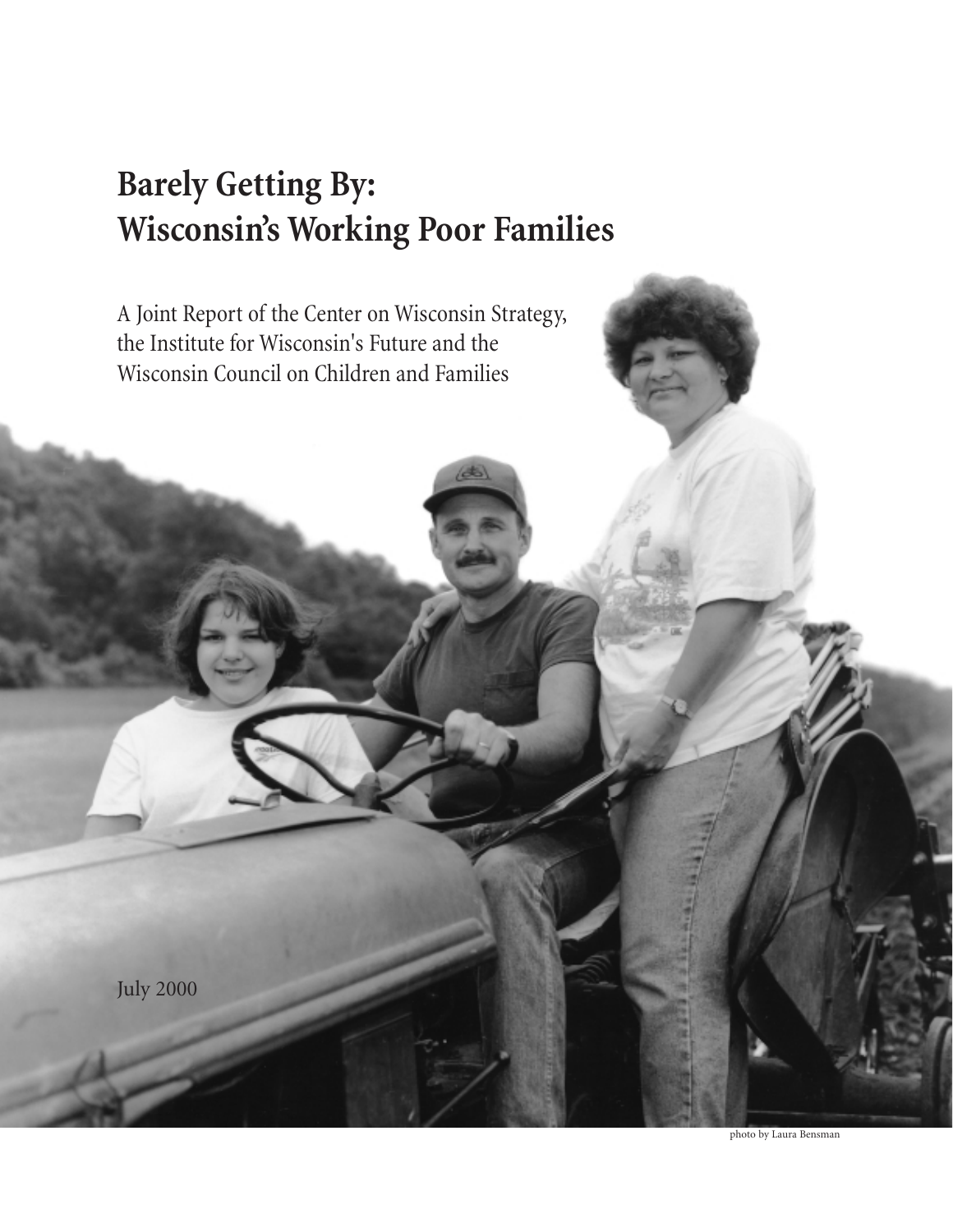# **Barely Getting By: Wisconsin's Working Poor Families**

A Joint Report of the Center on Wisconsin Strategy, the Institute for Wisconsin's Future and the Wisconsin Council on Children and Families

July 2000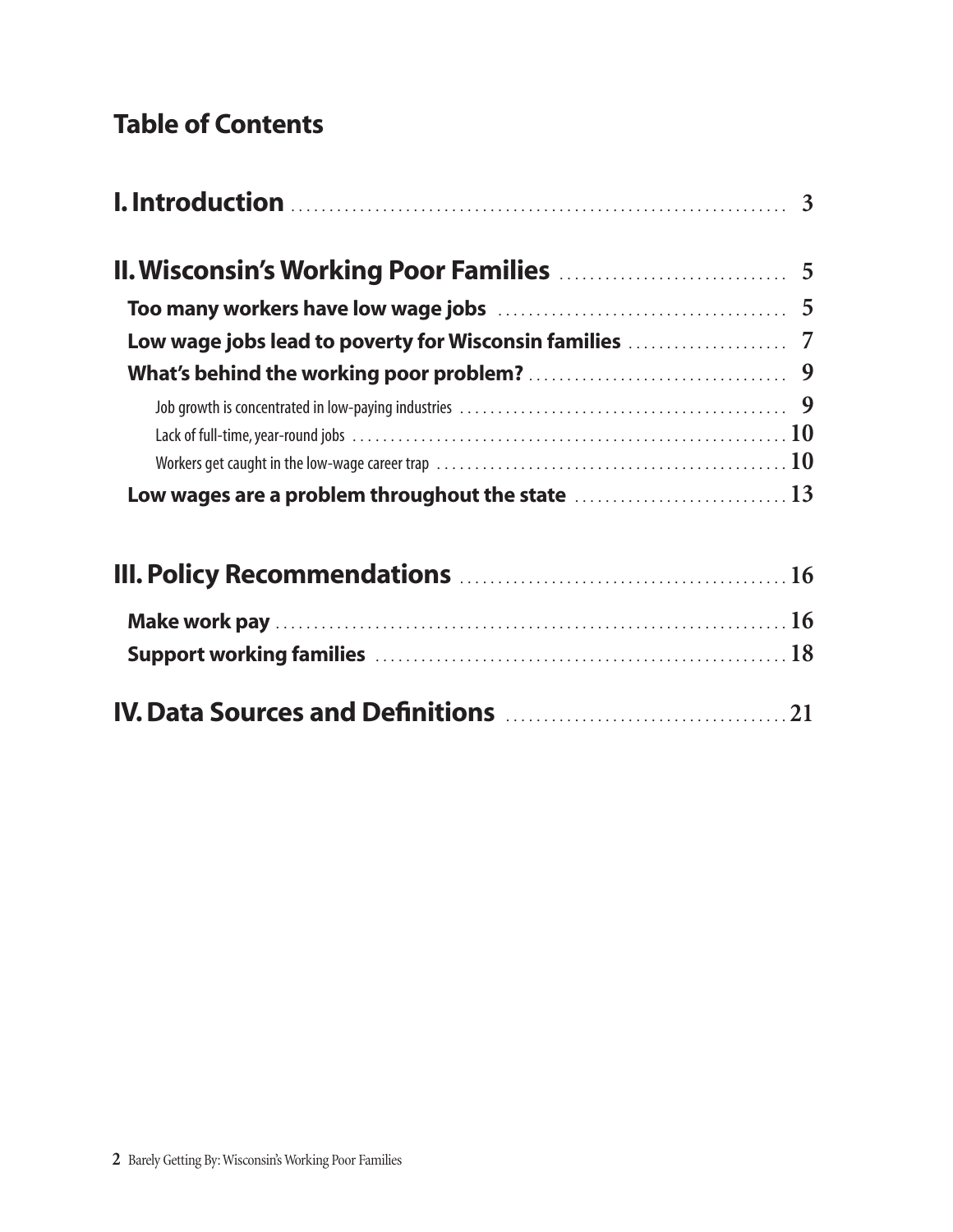## Table of Contents

| Workers get caught in the low-wage career trap $\ldots \ldots \ldots \ldots \ldots \ldots \ldots \ldots \ldots \ldots \ldots \ldots \ldots 10$ |  |
|------------------------------------------------------------------------------------------------------------------------------------------------|--|
| Low wages are a problem throughout the state  13                                                                                               |  |
|                                                                                                                                                |  |
|                                                                                                                                                |  |

Support working families . . . . . . . . . . . . . . . . . . . . . . . . . . . . . . . . . . . . . . . . . . . . . . . . . . . . . . **18**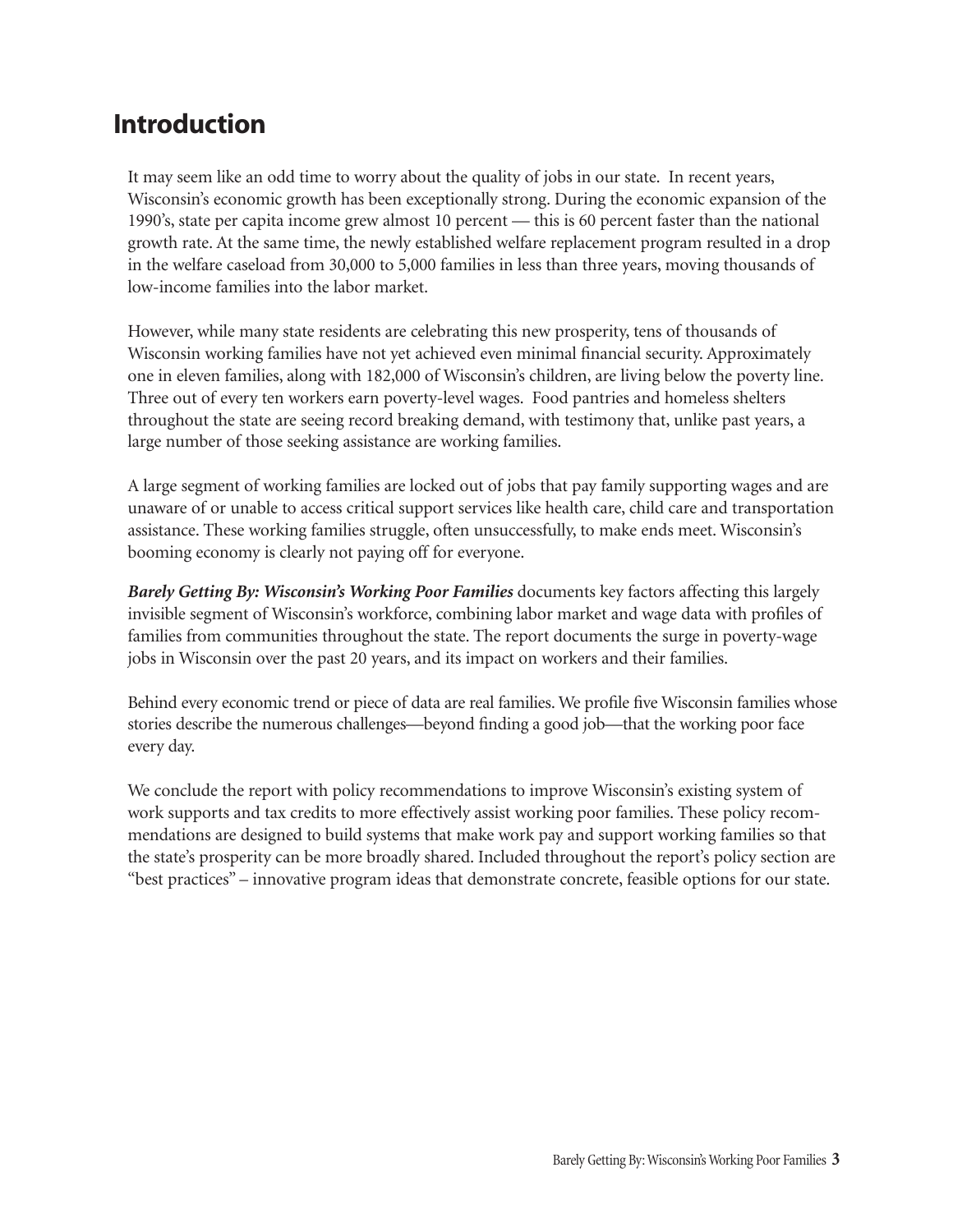## Introduction

It may seem like an odd time to worry about the quality of jobs in our state. In recent years, Wisconsin's economic growth has been exceptionally strong. During the economic expansion of the 1990's, state per capita income grew almost 10 percent — this is 60 percent faster than the national growth rate. At the same time, the newly established welfare replacement program resulted in a drop in the welfare caseload from 30,000 to 5,000 families in less than three years, moving thousands of low-income families into the labor market.

However, while many state residents are celebrating this new prosperity, tens of thousands of Wisconsin working families have not yet achieved even minimal financial security. Approximately one in eleven families, along with 182,000 of Wisconsin's children, are living below the poverty line. Three out of every ten workers earn poverty-level wages. Food pantries and homeless shelters throughout the state are seeing record breaking demand, with testimony that, unlike past years, a large number of those seeking assistance are working families.

A large segment of working families are locked out of jobs that pay family supporting wages and are unaware of or unable to access critical support services like health care, child care and transportation assistance. These working families struggle, often unsuccessfully, to make ends meet. Wisconsin's booming economy is clearly not paying off for everyone.

*Barely Getting By: Wisconsin's Working Poor Families* documents key factors affecting this largely invisible segment of Wisconsin's workforce, combining labor market and wage data with profiles of families from communities throughout the state. The report documents the surge in poverty-wage jobs in Wisconsin over the past 20 years, and its impact on workers and their families.

Behind every economic trend or piece of data are real families. We profile five Wisconsin families whose stories describe the numerous challenges—beyond finding a good job—that the working poor face every day.

We conclude the report with policy recommendations to improve Wisconsin's existing system of work supports and tax credits to more effectively assist working poor families. These policy recommendations are designed to build systems that make work pay and support working families so that the state's prosperity can be more broadly shared. Included throughout the report's policy section are "best practices" – innovative program ideas that demonstrate concrete, feasible options for our state.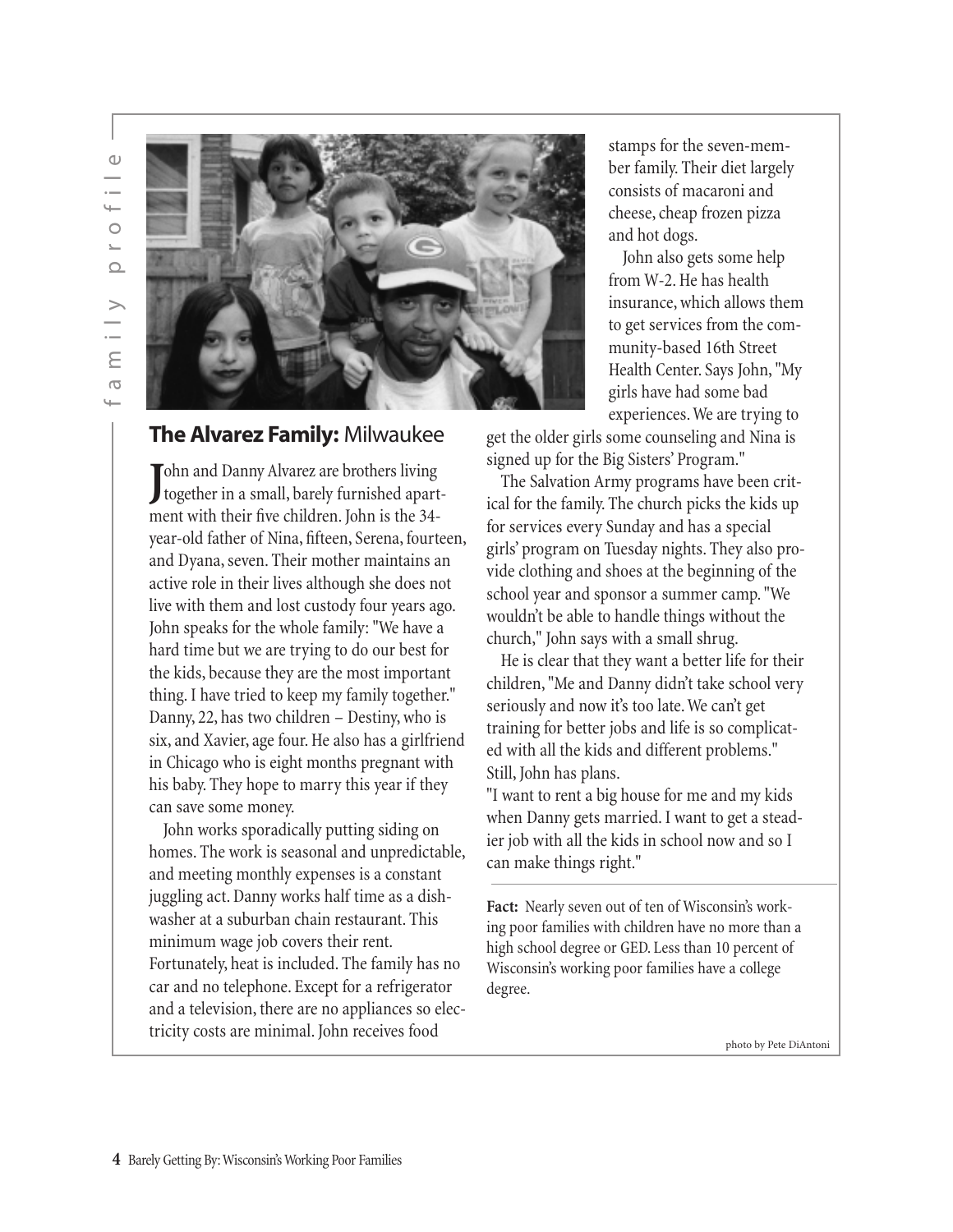

#### **The Alvarez Family:** Milwaukee

John and Danny Alvarez are brothers living<br>together in a small, barely furnished apart-Tohn and Danny Alvarez are brothers living ment with their five children. John is the 34 year-old father of Nina, fifteen, Serena, fourteen, and Dyana, seven. Their mother maintains an active role in their lives although she does not live with them and lost custody four years ago. John speaks for the whole family: "We have a hard time but we are trying to do our best for the kids, because they are the most important thing. I have tried to keep my family together." Danny, 22, has two children – Destiny, who is six, and Xavier, age four. He also has a girlfriend in Chicago who is eight months pregnant with his baby. They hope to marry this year if they can save some money.

John works sporadically putting siding on homes. The work is seasonal and unpredictable, and meeting monthly expenses is a constant juggling act. Danny works half time as a dishwasher at a suburban chain restaurant. This minimum wage job covers their rent. Fortunately, heat is included. The family has no car and no telephone. Except for a refrigerator and a television, there are no appliances so electricity costs are minimal. John receives food

stamps for the seven-member family. Their diet largely consists of macaroni and cheese, cheap frozen pizza and hot dogs.

John also gets some help from W-2. He has health insurance, which allows them to get services from the community-based 16th Street Health Center. Says John, "My girls have had some bad experiences. We are trying to

get the older girls some counseling and Nina is signed up for the Big Sisters' Program."

The Salvation Army programs have been critical for the family. The church picks the kids up for services every Sunday and has a special girls' program on Tuesday nights. They also provide clothing and shoes at the beginning of the school year and sponsor a summer camp. "We wouldn't be able to handle things without the church," John says with a small shrug.

He is clear that they want a better life for their children, "Me and Danny didn't take school very seriously and now it's too late. We can't get training for better jobs and life is so complicated with all the kids and different problems." Still, John has plans.

"I want to rent a big house for me and my kids when Danny gets married. I want to get a steadier job with all the kids in school now and so I can make things right."

**Fact:** Nearly seven out of ten of Wisconsin's working poor families with children have no more than a high school degree or GED. Less than 10 percent of Wisconsin's working poor families have a college degree.

photo by Pete DiAntoni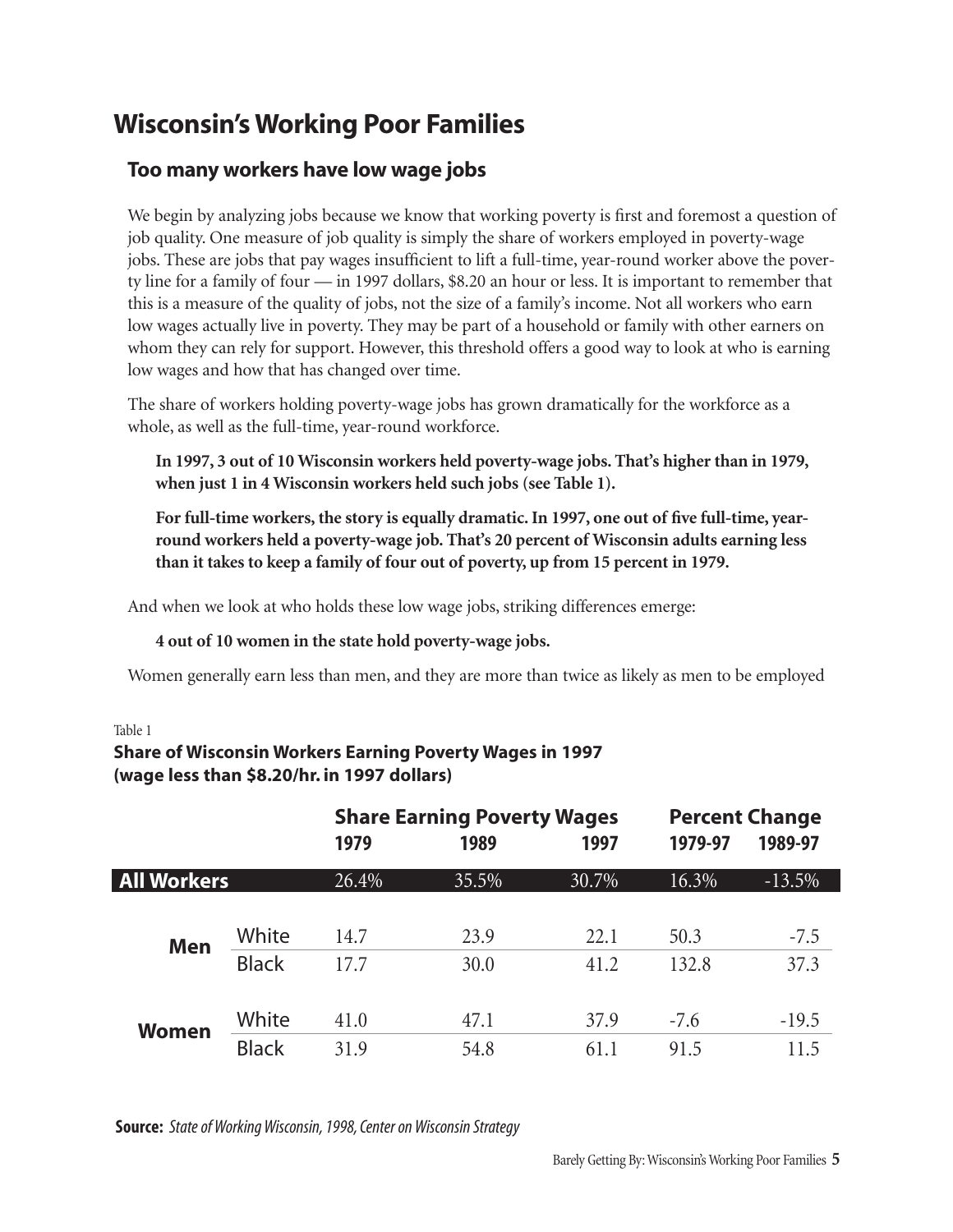## Wisconsin's Working Poor Families

### Too many workers have low wage jobs

We begin by analyzing jobs because we know that working poverty is first and foremost a question of job quality. One measure of job quality is simply the share of workers employed in poverty-wage jobs. These are jobs that pay wages insufficient to lift a full-time, year-round worker above the poverty line for a family of four — in 1997 dollars, \$8.20 an hour or less. It is important to remember that this is a measure of the quality of jobs, not the size of a family's income. Not all workers who earn low wages actually live in poverty. They may be part of a household or family with other earners on whom they can rely for support. However, this threshold offers a good way to look at who is earning low wages and how that has changed over time.

The share of workers holding poverty-wage jobs has grown dramatically for the workforce as a whole, as well as the full-time, year-round workforce.

**In 1997, 3 out of 10 Wisconsin workers held poverty-wage jobs. That's higher than in 1979, when just 1 in 4 Wisconsin workers held such jobs (see Table 1).**

**For full-time workers, the story is equally dramatic. In 1997, one out of five full-time, yearround workers held a poverty-wage job. That's 20 percent of Wisconsin adults earning less than it takes to keep a family of four out of poverty, up from 15 percent in 1979.**

And when we look at who holds these low wage jobs, striking differences emerge:

#### **4 out of 10 women in the state hold poverty-wage jobs.**

Women generally earn less than men, and they are more than twice as likely as men to be employed

#### Table 1

#### **Share of Wisconsin Workers Earning Poverty Wages in 1997 (wage less than \$8.20/hr. in 1997 dollars)**

|                    |              | <b>Share Earning Poverty Wages</b><br>1979<br>1989<br>1997 |       |       | <b>Percent Change</b><br>1979-97<br>1989-97 |          |  |
|--------------------|--------------|------------------------------------------------------------|-------|-------|---------------------------------------------|----------|--|
| <b>All Workers</b> |              | 26.4%                                                      | 35.5% | 30.7% | 16.3%                                       | $-13.5%$ |  |
|                    |              |                                                            |       |       |                                             |          |  |
| <b>Men</b>         | White        | 14.7                                                       | 23.9  | 22.1  | 50.3                                        | $-7.5$   |  |
|                    | <b>Black</b> | 17.7                                                       | 30.0  | 41.2  | 132.8                                       | 37.3     |  |
|                    |              |                                                            |       |       |                                             |          |  |
| <b>Women</b>       | White        | 41.0                                                       | 47.1  | 37.9  | $-7.6$                                      | $-19.5$  |  |
|                    | <b>Black</b> | 31.9                                                       | 54.8  | 61.1  | 91.5                                        | 11.5     |  |

**Source:** *State of Working Wisconsin, 1998, Center on Wisconsin Strategy*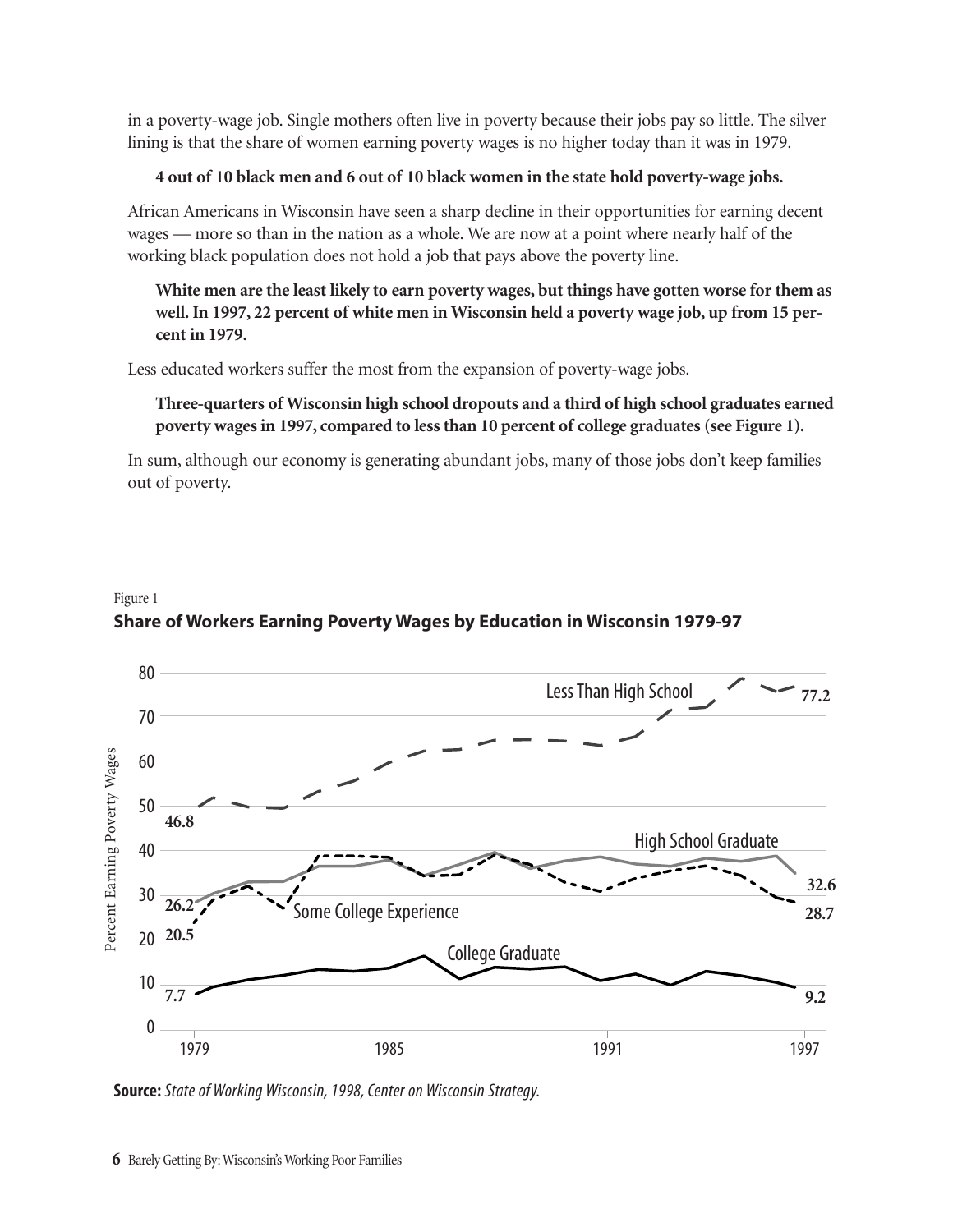in a poverty-wage job. Single mothers often live in poverty because their jobs pay so little. The silver lining is that the share of women earning poverty wages is no higher today than it was in 1979.

#### **4 out of 10 black men and 6 out of 10 black women in the state hold poverty-wage jobs.**

African Americans in Wisconsin have seen a sharp decline in their opportunities for earning decent wages — more so than in the nation as a whole. We are now at a point where nearly half of the working black population does not hold a job that pays above the poverty line.

**White men are the least likely to earn poverty wages, but things have gotten worse for them as well. In 1997, 22 percent of white men in Wisconsin held a poverty wage job, up from 15 percent in 1979.**

Less educated workers suffer the most from the expansion of poverty-wage jobs.

#### **Three-quarters of Wisconsin high school dropouts and a third of high school graduates earned poverty wages in 1997, compared to less than 10 percent of college graduates (see Figure 1).**

In sum, although our economy is generating abundant jobs, many of those jobs don't keep families out of poverty.

#### Figure 1 **Share of Workers Earning Poverty Wages by Education in Wisconsin 1979-97**

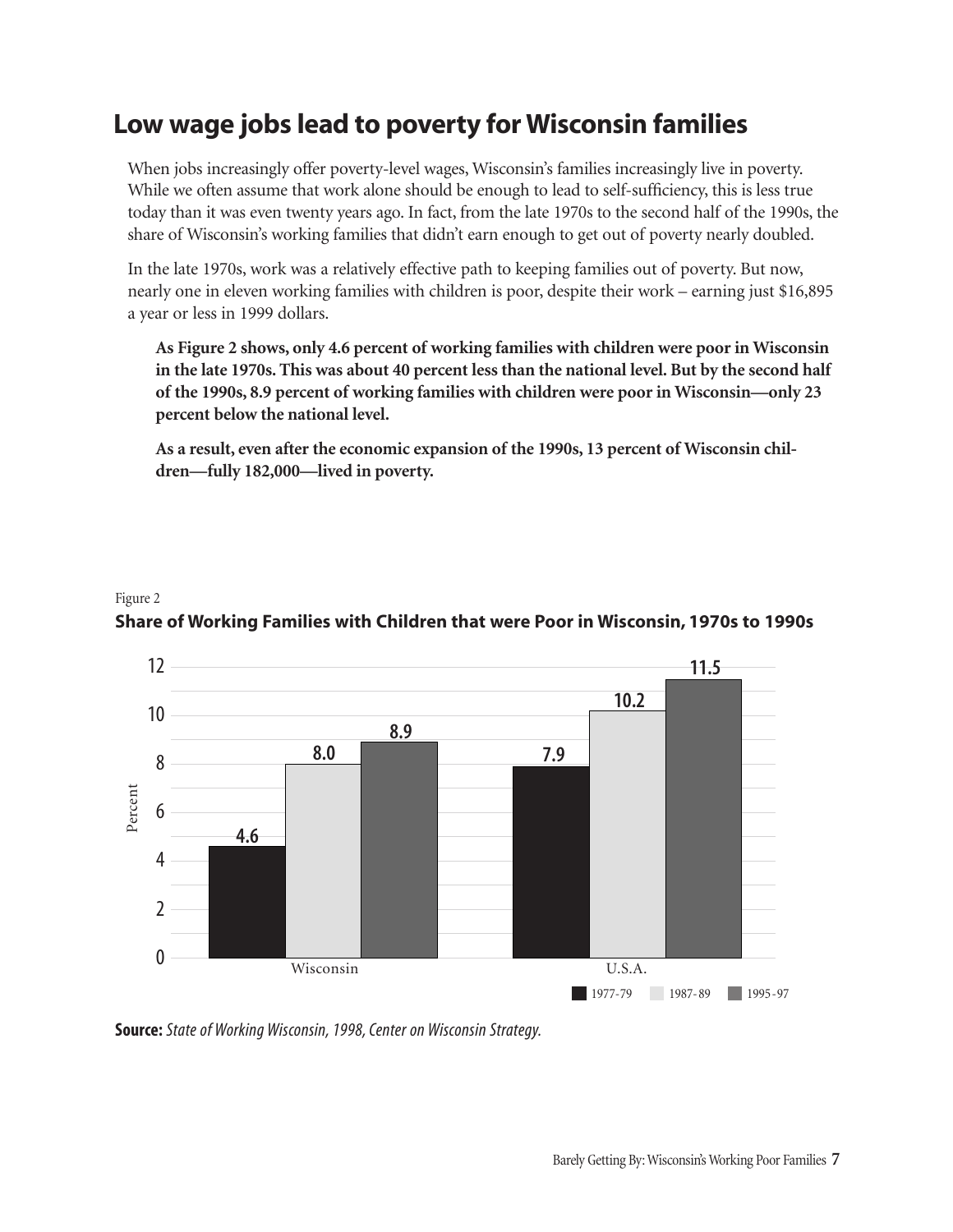## Low wage jobs lead to poverty for Wisconsin families

When jobs increasingly offer poverty-level wages, Wisconsin's families increasingly live in poverty. While we often assume that work alone should be enough to lead to self-sufficiency, this is less true today than it was even twenty years ago. In fact, from the late 1970s to the second half of the 1990s, the share of Wisconsin's working families that didn't earn enough to get out of poverty nearly doubled.

In the late 1970s, work was a relatively effective path to keeping families out of poverty. But now, nearly one in eleven working families with children is poor, despite their work – earning just \$16,895 a year or less in 1999 dollars.

**As Figure 2 shows, only 4.6 percent of working families with children were poor in Wisconsin in the late 1970s. This was about 40 percent less than the national level. But by the second half of the 1990s, 8.9 percent of working families with children were poor in Wisconsin—only 23 percent below the national level.**

**As a result, even after the economic expansion of the 1990s, 13 percent of Wisconsin children—fully 182,000—lived in poverty.**

#### Figure 2 **Share of Working Families with Children that were Poor in Wisconsin, 1970s to 1990s**



**Source:** *State of Working Wisconsin, 1998, Center on Wisconsin Strategy.*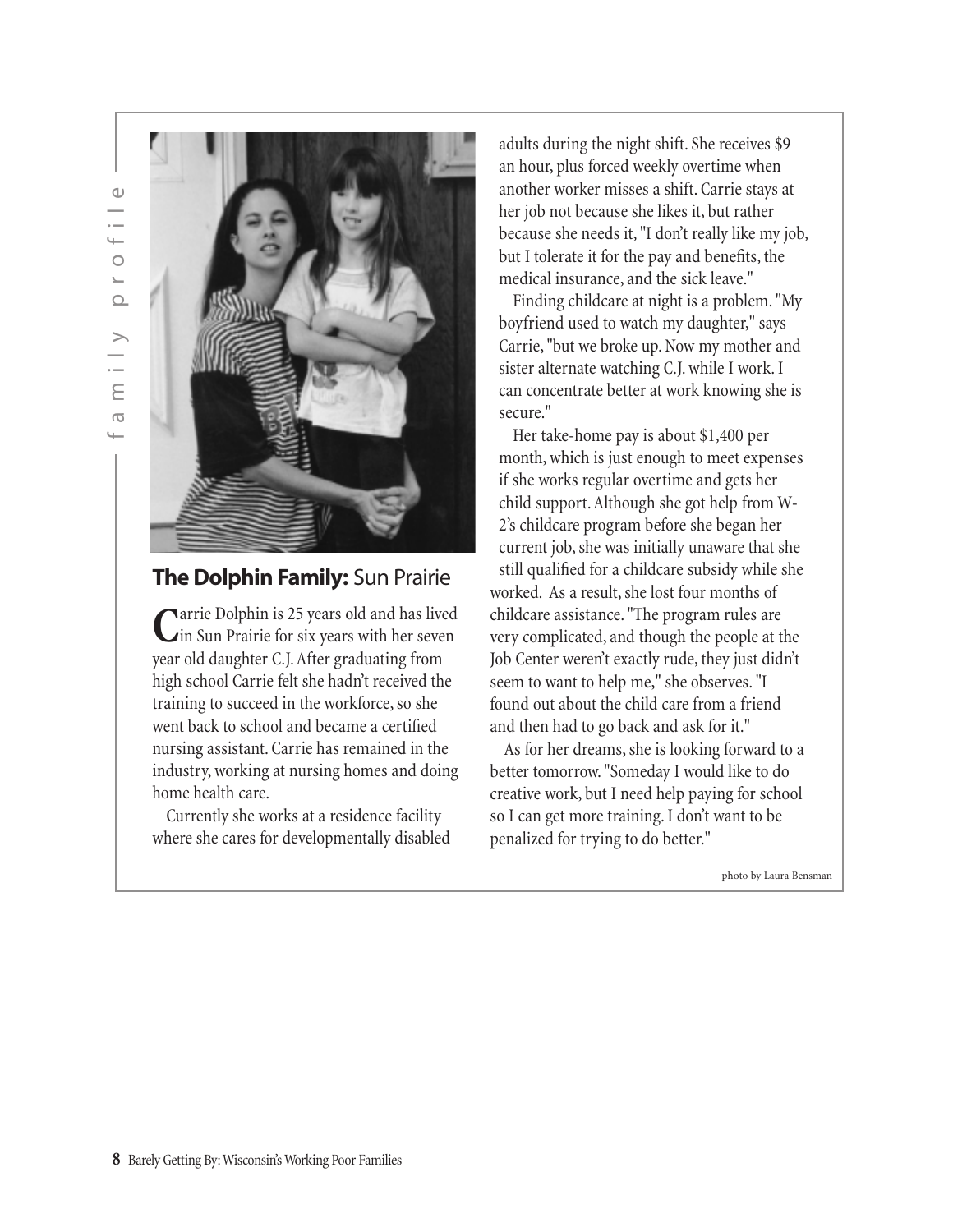

### **The Dolphin Family:** Sun Prairie

Carrie Dolphin is 25 years old and has lived<br>
in Sun Prairie for six years with her seven year old daughter C.J. After graduating from high school Carrie felt she hadn't received the training to succeed in the workforce, so she went back to school and became a certified nursing assistant. Carrie has remained in the industry, working at nursing homes and doing home health care.

Currently she works at a residence facility where she cares for developmentally disabled adults during the night shift. She receives \$9 an hour, plus forced weekly overtime when another worker misses a shift. Carrie stays at her job not because she likes it, but rather because she needs it, "I don't really like my job, but I tolerate it for the pay and benefits, the medical insurance, and the sick leave."

Finding childcare at night is a problem. "My boyfriend used to watch my daughter," says Carrie, "but we broke up. Now my mother and sister alternate watching C.J. while I work. I can concentrate better at work knowing she is secure."

Her take-home pay is about \$1,400 per month, which is just enough to meet expenses if she works regular overtime and gets her child support. Although she got help from W-2's childcare program before she began her current job, she was initially unaware that she still qualified for a childcare subsidy while she worked. As a result, she lost four months of childcare assistance. "The program rules are very complicated, and though the people at the Job Center weren't exactly rude, they just didn't seem to want to help me," she observes. "I found out about the child care from a friend and then had to go back and ask for it."

As for her dreams, she is looking forward to a better tomorrow. "Someday I would like to do creative work, but I need help paying for school so I can get more training. I don't want to be penalized for trying to do better."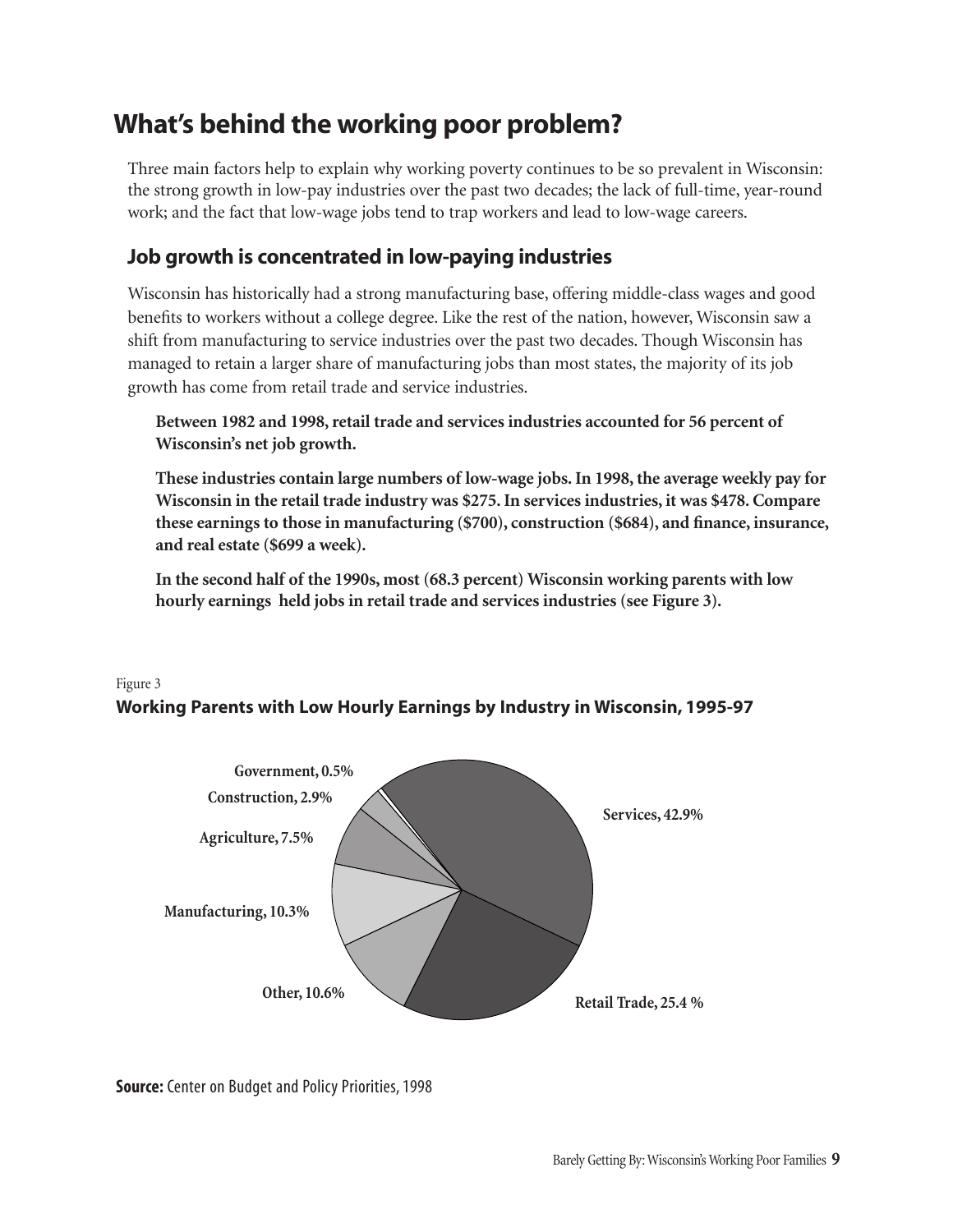## What's behind the working poor problem?

Three main factors help to explain why working poverty continues to be so prevalent in Wisconsin: the strong growth in low-pay industries over the past two decades; the lack of full-time, year-round work; and the fact that low-wage jobs tend to trap workers and lead to low-wage careers.

### Job growth is concentrated in low-paying industries

Wisconsin has historically had a strong manufacturing base, offering middle-class wages and good benefits to workers without a college degree. Like the rest of the nation, however, Wisconsin saw a shift from manufacturing to service industries over the past two decades. Though Wisconsin has managed to retain a larger share of manufacturing jobs than most states, the majority of its job growth has come from retail trade and service industries.

#### **Between 1982 and 1998, retail trade and services industries accounted for 56 percent of Wisconsin's net job growth.**

**These industries contain large numbers of low-wage jobs. In 1998, the average weekly pay for Wisconsin in the retail trade industry was \$275. In services industries, it was \$478. Compare these earnings to those in manufacturing (\$700), construction (\$684), and finance, insurance, and real estate (\$699 a week).**

**In the second half of the 1990s, most (68.3 percent) Wisconsin working parents with low hourly earnings held jobs in retail trade and services industries (see Figure 3).**

#### Figure 3 **Working Parents with Low Hourly Earnings by Industry in Wisconsin, 1995-97**



**Source:** Center on Budget and Policy Priorities, 1998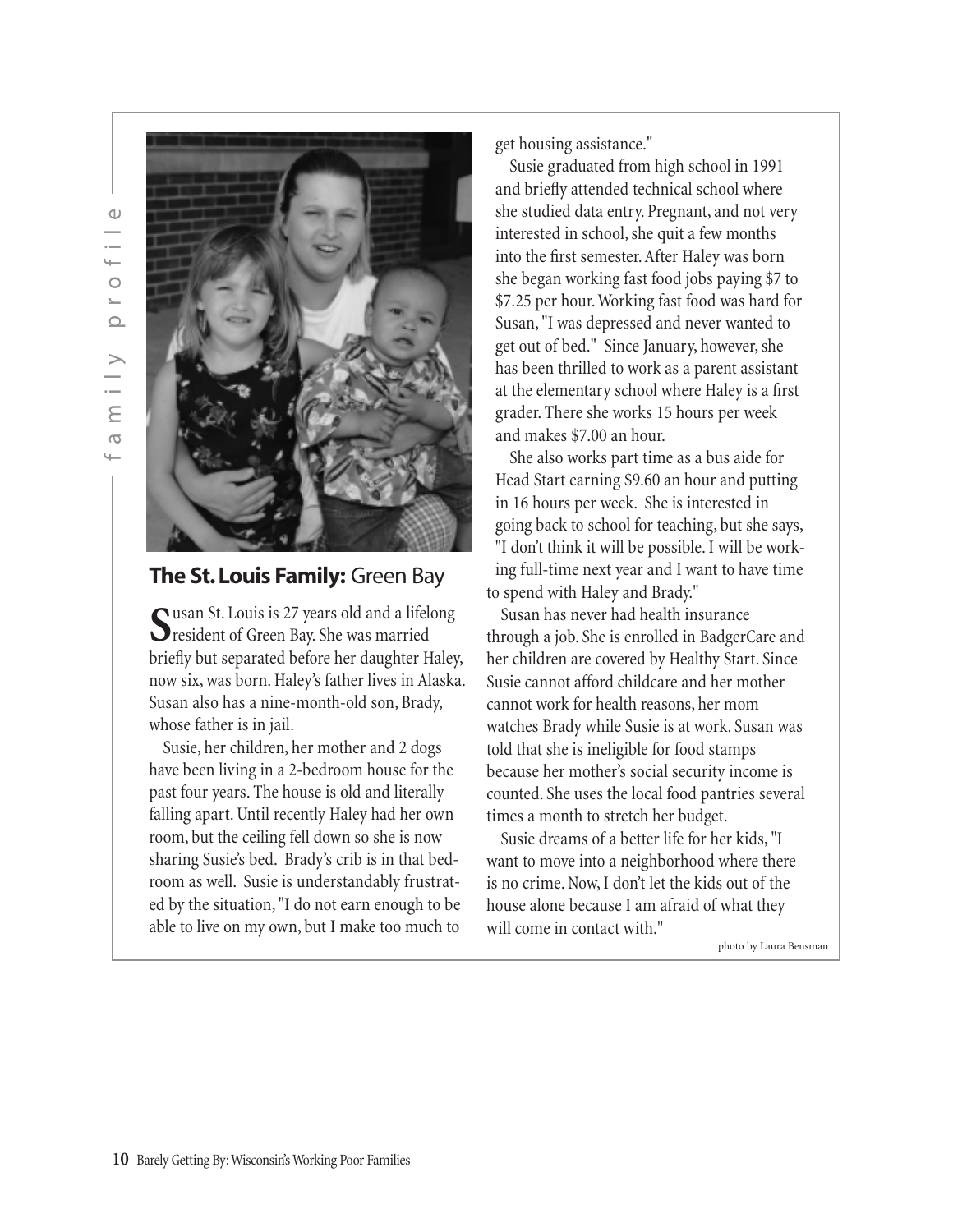

### **The St. Louis Family:** Green Bay

**S**usan St. Louis is 27 years old and a lifelong resident of Green Bay. She was married briefly but separated before her daughter Haley, now six, was born. Haley's father lives in Alaska. Susan also has a nine-month-old son, Brady, whose father is in jail.

Susie, her children, her mother and 2 dogs have been living in a 2-bedroom house for the past four years. The house is old and literally falling apart. Until recently Haley had her own room, but the ceiling fell down so she is now sharing Susie's bed. Brady's crib is in that bedroom as well. Susie is understandably frustrated by the situation, "I do not earn enough to be able to live on my own, but I make too much to

get housing assistance."

Susie graduated from high school in 1991 and briefly attended technical school where she studied data entry. Pregnant, and not very interested in school, she quit a few months into the first semester. After Haley was born she began working fast food jobs paying \$7 to \$7.25 per hour. Working fast food was hard for Susan, "I was depressed and never wanted to get out of bed." Since January, however, she has been thrilled to work as a parent assistant at the elementary school where Haley is a first grader. There she works 15 hours per week and makes \$7.00 an hour.

She also works part time as a bus aide for Head Start earning \$9.60 an hour and putting in 16 hours per week. She is interested in going back to school for teaching, but she says, "I don't think it will be possible. I will be working full-time next year and I want to have time to spend with Haley and Brady."

Susan has never had health insurance through a job. She is enrolled in BadgerCare and her children are covered by Healthy Start. Since Susie cannot afford childcare and her mother cannot work for health reasons, her mom watches Brady while Susie is at work. Susan was told that she is ineligible for food stamps because her mother's social security income is counted. She uses the local food pantries several times a month to stretch her budget.

Susie dreams of a better life for her kids, "I want to move into a neighborhood where there is no crime. Now, I don't let the kids out of the house alone because I am afraid of what they will come in contact with."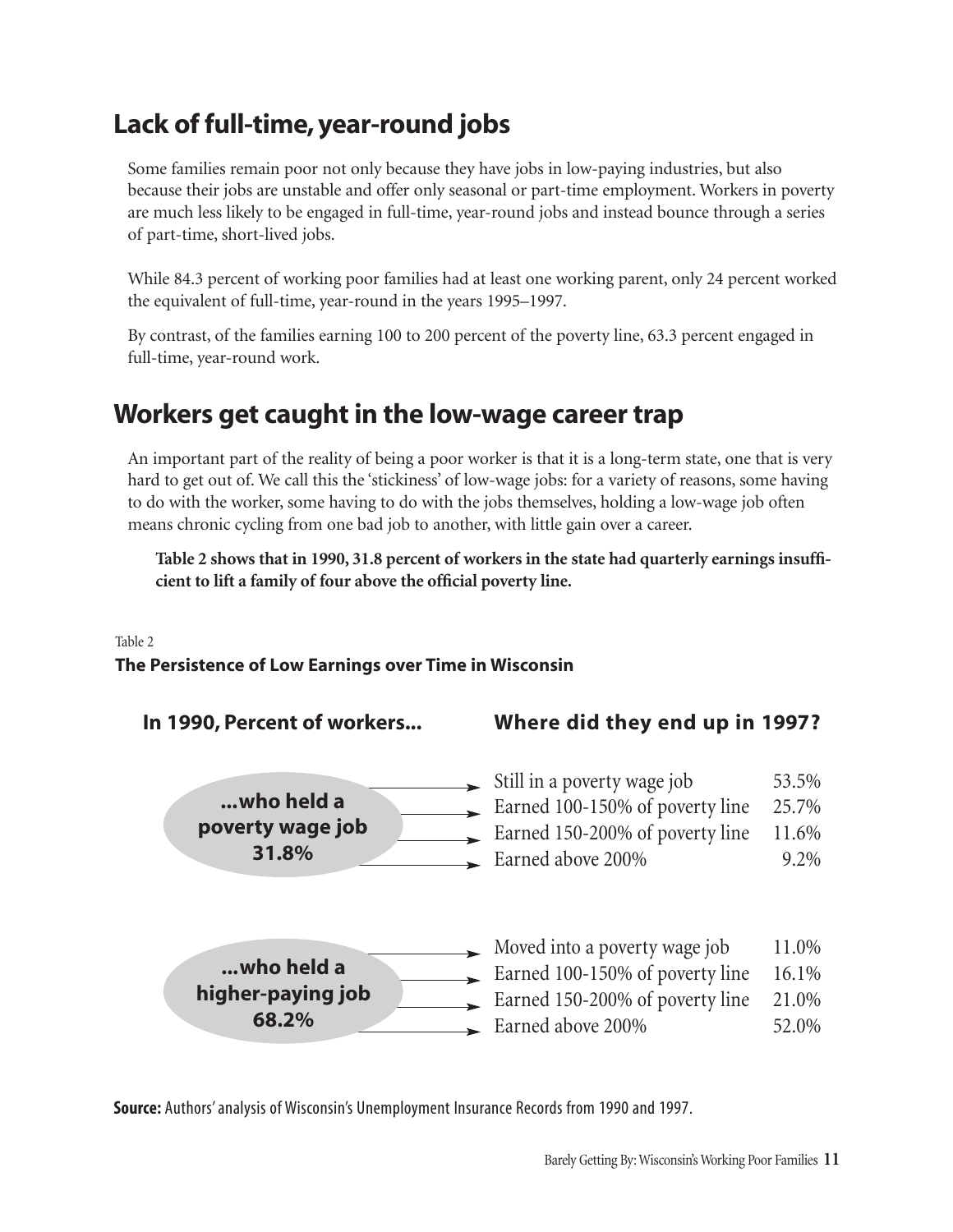## Lack of full-time, year-round jobs

Some families remain poor not only because they have jobs in low-paying industries, but also because their jobs are unstable and offer only seasonal or part-time employment. Workers in poverty are much less likely to be engaged in full-time, year-round jobs and instead bounce through a series of part-time, short-lived jobs.

While 84.3 percent of working poor families had at least one working parent, only 24 percent worked the equivalent of full-time, year-round in the years 1995–1997.

By contrast, of the families earning 100 to 200 percent of the poverty line, 63.3 percent engaged in full-time, year-round work.

## Workers get caught in the low-wage career trap

An important part of the reality of being a poor worker is that it is a long-term state, one that is very hard to get out of. We call this the 'stickiness' of low-wage jobs: for a variety of reasons, some having to do with the worker, some having to do with the jobs themselves, holding a low-wage job often means chronic cycling from one bad job to another, with little gain over a career.

**Table 2 shows that in 1990, 31.8 percent of workers in the state had quarterly earnings insufficient to lift a family of four above the official poverty line.**

Table 2

#### **The Persistence of Low Earnings over Time in Wisconsin**

**In 1990, Percent of workers...** 



| Where did they end up in 1997? |  |  |  |  |  |
|--------------------------------|--|--|--|--|--|
|--------------------------------|--|--|--|--|--|

| Still in a poverty wage job     | 53.5%   |
|---------------------------------|---------|
| Earned 100-150% of poverty line | 25.7%   |
| Earned 150-200% of poverty line | 11.6%   |
| Earned above 200%               | $9.2\%$ |



**Source:** Authors' analysis of Wisconsin's Unemployment Insurance Records from 1990 and 1997.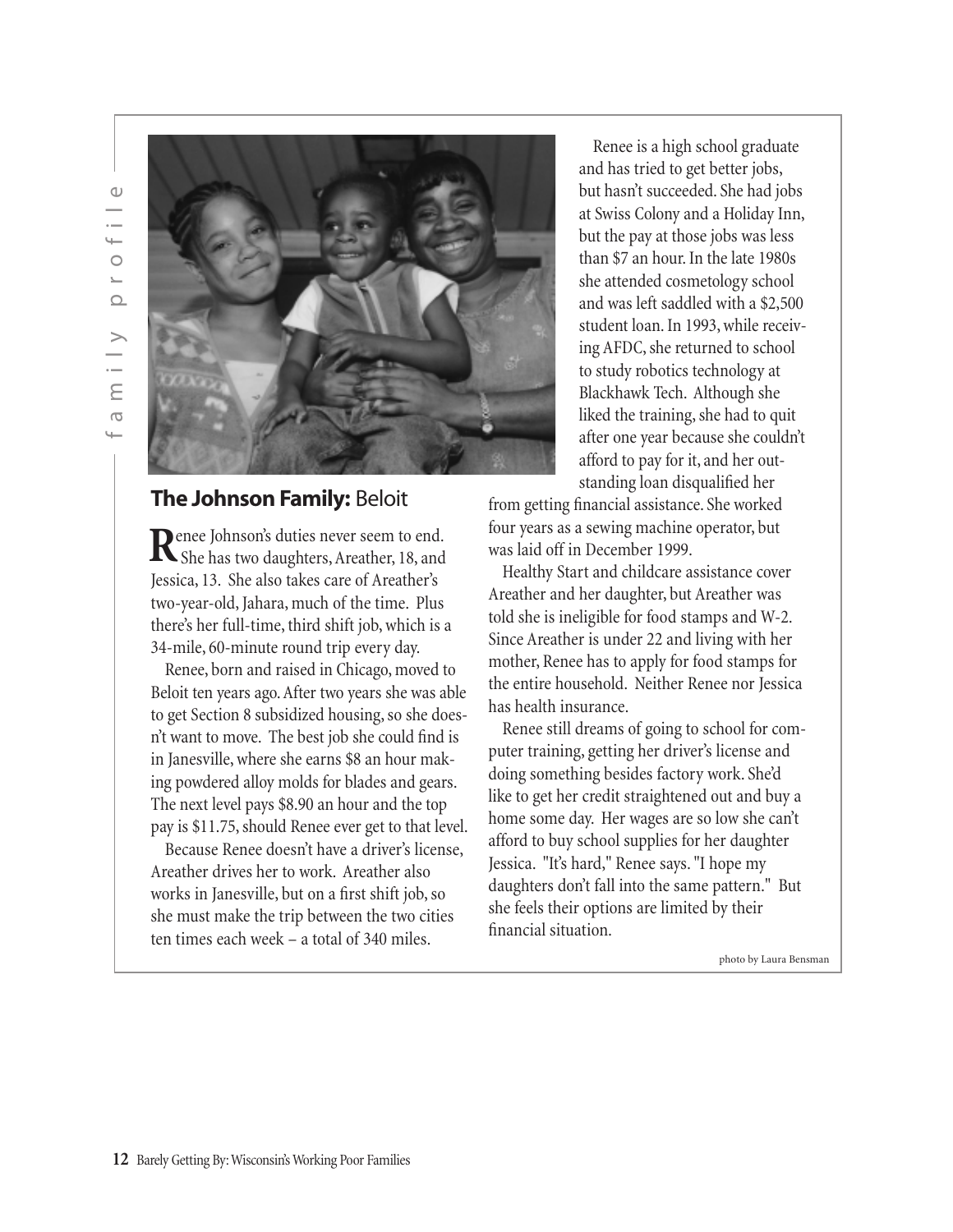

#### **The Johnson Family:** Beloit

enee Johnson's duties never seem to end. Renee Johnson's duties never seem to end.<br>She has two daughters, Areather, 18, and Jessica, 13. She also takes care of Areather's two-year-old, Jahara, much of the time. Plus there's her full-time, third shift job, which is a 34-mile, 60-minute round trip every day.

Renee, born and raised in Chicago, moved to Beloit ten years ago. After two years she was able to get Section 8 subsidized housing, so she doesn't want to move. The best job she could find is in Janesville, where she earns \$8 an hour making powdered alloy molds for blades and gears. The next level pays \$8.90 an hour and the top pay is \$11.75, should Renee ever get to that level.

Because Renee doesn't have a driver's license, Areather drives her to work. Areather also works in Janesville, but on a first shift job, so she must make the trip between the two cities ten times each week – a total of 340 miles.

Renee is a high school graduate and has tried to get better jobs, but hasn't succeeded. She had jobs at Swiss Colony and a Holiday Inn, but the pay at those jobs was less than \$7 an hour. In the late 1980s she attended cosmetology school and was left saddled with a \$2,500 student loan. In 1993, while receiving AFDC, she returned to school to study robotics technology at Blackhawk Tech. Although she liked the training, she had to quit after one year because she couldn't afford to pay for it, and her outstanding loan disqualified her

from getting financial assistance. She worked four years as a sewing machine operator, but was laid off in December 1999.

Healthy Start and childcare assistance cover Areather and her daughter, but Areather was told she is ineligible for food stamps and W-2. Since Areather is under 22 and living with her mother, Renee has to apply for food stamps for the entire household. Neither Renee nor Jessica has health insurance.

Renee still dreams of going to school for computer training, getting her driver's license and doing something besides factory work. She'd like to get her credit straightened out and buy a home some day. Her wages are so low she can't afford to buy school supplies for her daughter Jessica. "It's hard," Renee says. "I hope my daughters don't fall into the same pattern." But she feels their options are limited by their financial situation.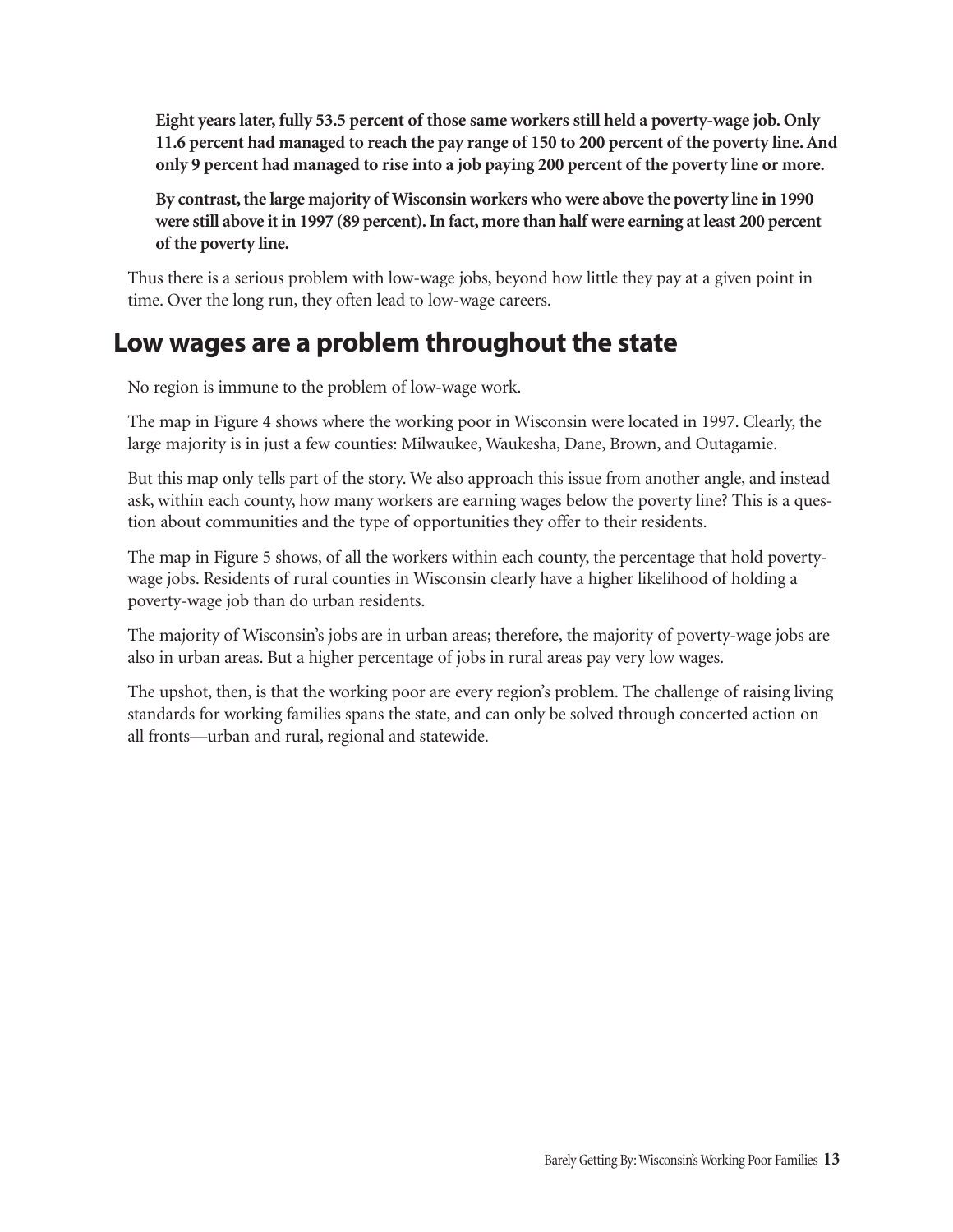**Eight years later, fully 53.5 percent of those same workers still held a poverty-wage job. Only 11.6 percent had managed to reach the pay range of 150 to 200 percent of the poverty line. And only 9 percent had managed to rise into a job paying 200 percent of the poverty line or more.**

**By contrast, the large majority of Wisconsin workers who were above the poverty line in 1990 were still above it in 1997 (89 percent). In fact, more than half were earning at least 200 percent of the poverty line.**

Thus there is a serious problem with low-wage jobs, beyond how little they pay at a given point in time. Over the long run, they often lead to low-wage careers.

### Low wages are a problem throughout the state

No region is immune to the problem of low-wage work.

The map in Figure 4 shows where the working poor in Wisconsin were located in 1997. Clearly, the large majority is in just a few counties: Milwaukee, Waukesha, Dane, Brown, and Outagamie.

But this map only tells part of the story. We also approach this issue from another angle, and instead ask, within each county, how many workers are earning wages below the poverty line? This is a question about communities and the type of opportunities they offer to their residents.

The map in Figure 5 shows, of all the workers within each county, the percentage that hold povertywage jobs. Residents of rural counties in Wisconsin clearly have a higher likelihood of holding a poverty-wage job than do urban residents.

The majority of Wisconsin's jobs are in urban areas; therefore, the majority of poverty-wage jobs are also in urban areas. But a higher percentage of jobs in rural areas pay very low wages.

The upshot, then, is that the working poor are every region's problem. The challenge of raising living standards for working families spans the state, and can only be solved through concerted action on all fronts—urban and rural, regional and statewide.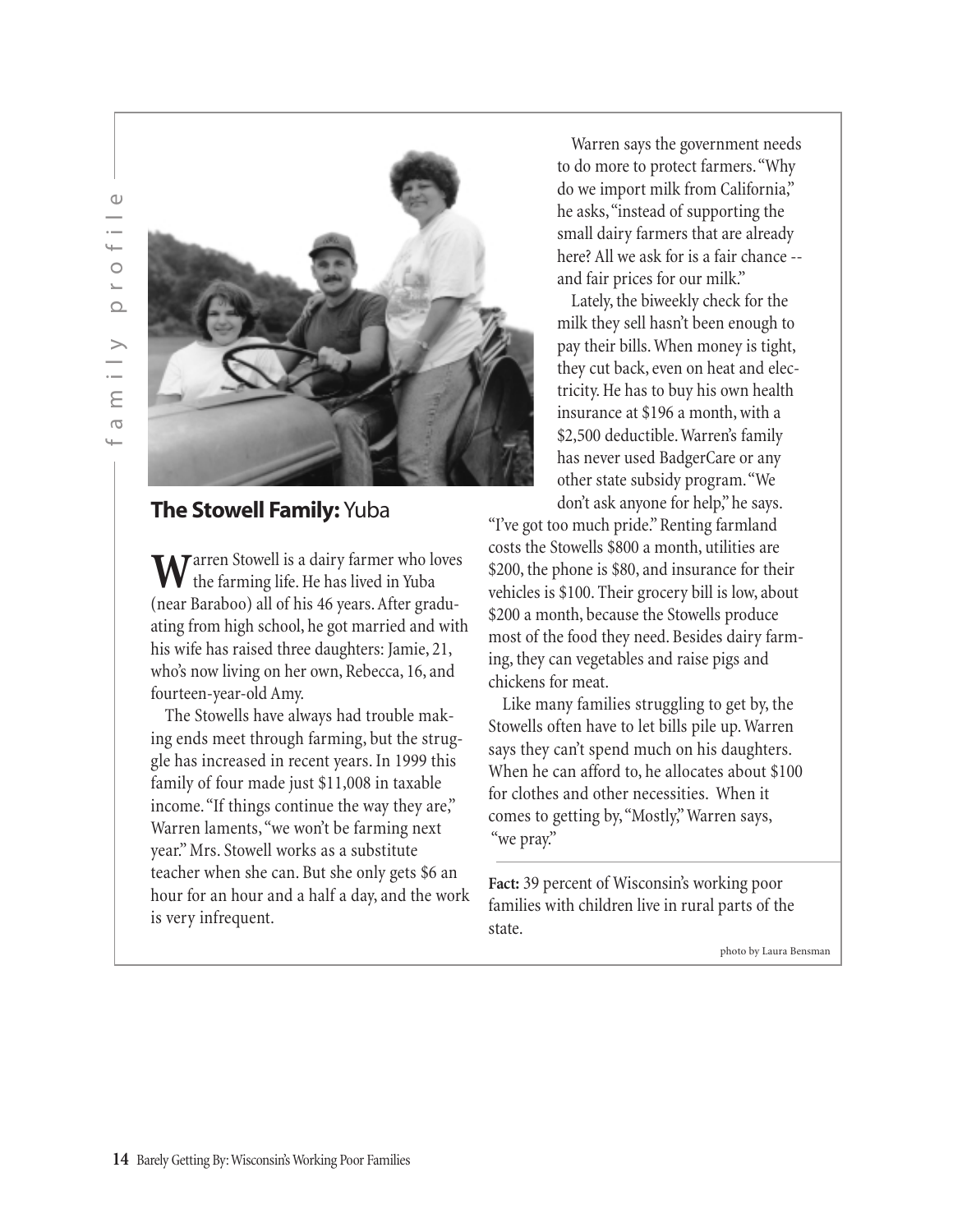

### **The Stowell Family:** Yuba

Warren Stowell is a dairy farmer who loves<br>the farming life. He has lived in Yuba (near Baraboo) all of his 46 years. After graduating from high school, he got married and with his wife has raised three daughters: Jamie, 21, who's now living on her own, Rebecca, 16, and fourteen-year-old Amy.

The Stowells have always had trouble making ends meet through farming, but the struggle has increased in recent years. In 1999 this family of four made just \$11,008 in taxable income. "If things continue the way they are," Warren laments,"we won't be farming next year." Mrs. Stowell works as a substitute teacher when she can. But she only gets \$6 an hour for an hour and a half a day, and the work is very infrequent.

Warren says the government needs to do more to protect farmers."Why do we import milk from California," he asks,"instead of supporting the small dairy farmers that are already here? All we ask for is a fair chance - and fair prices for our milk."

Lately, the biweekly check for the milk they sell hasn't been enough to pay their bills. When money is tight, they cut back, even on heat and electricity. He has to buy his own health insurance at \$196 a month, with a \$2,500 deductible. Warren's family has never used BadgerCare or any other state subsidy program."We don't ask anyone for help," he says.

"I've got too much pride." Renting farmland costs the Stowells \$800 a month, utilities are \$200, the phone is \$80, and insurance for their vehicles is \$100. Their grocery bill is low, about \$200 a month, because the Stowells produce most of the food they need. Besides dairy farming, they can vegetables and raise pigs and chickens for meat.

Like many families struggling to get by, the Stowells often have to let bills pile up. Warren says they can't spend much on his daughters. When he can afford to, he allocates about \$100 for clothes and other necessities. When it comes to getting by,"Mostly," Warren says, "we pray."

**Fact:** 39 percent of Wisconsin's working poor families with children live in rural parts of the state.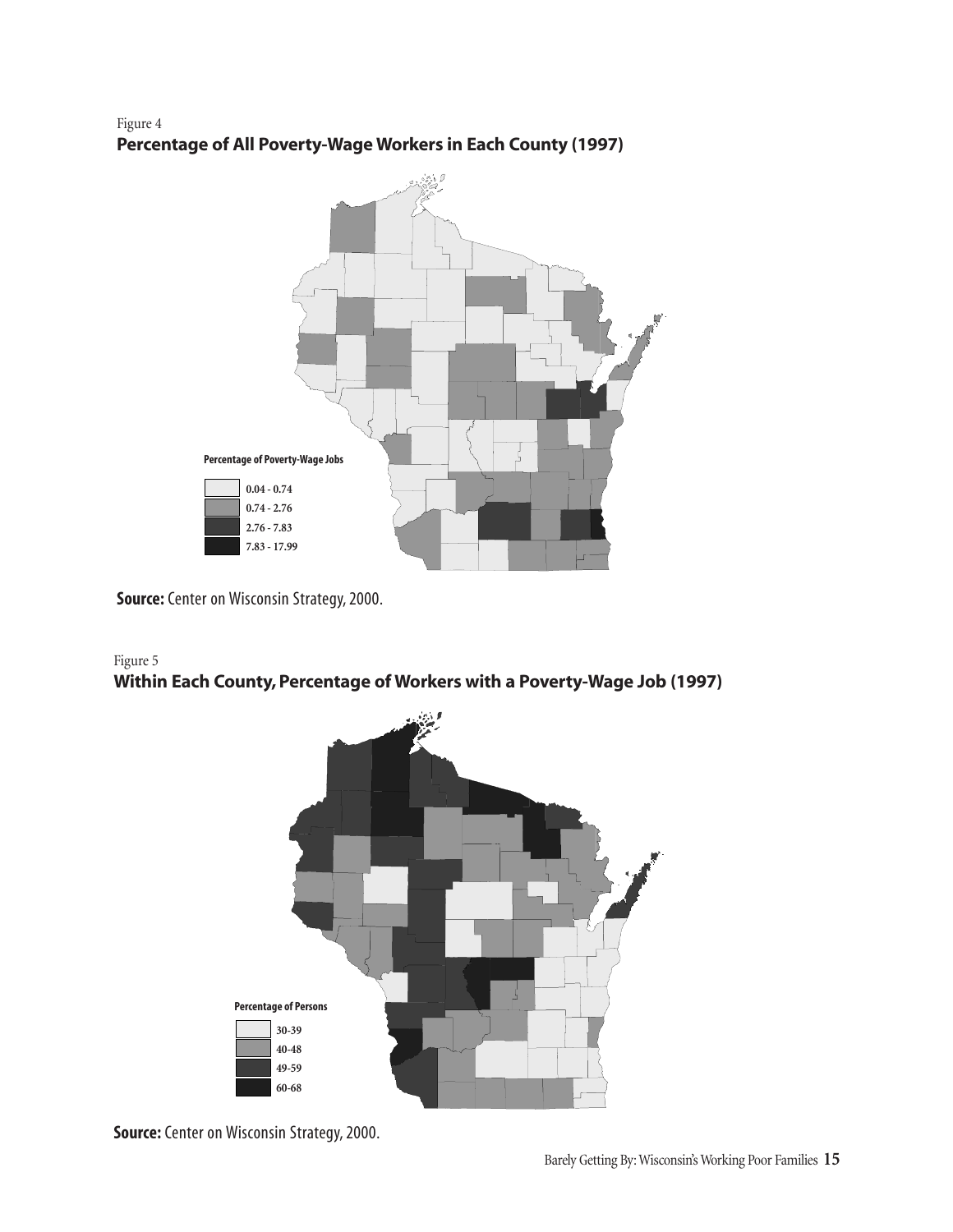#### Figure 4 **Percentage of All Poverty-Wage Workers in Each County (1997)**



**Source:** Center on Wisconsin Strategy, 2000.

#### Figure 5 **Within Each County, Percentage of Workers with a Poverty-Wage Job (1997)**



**Source:** Center on Wisconsin Strategy, 2000.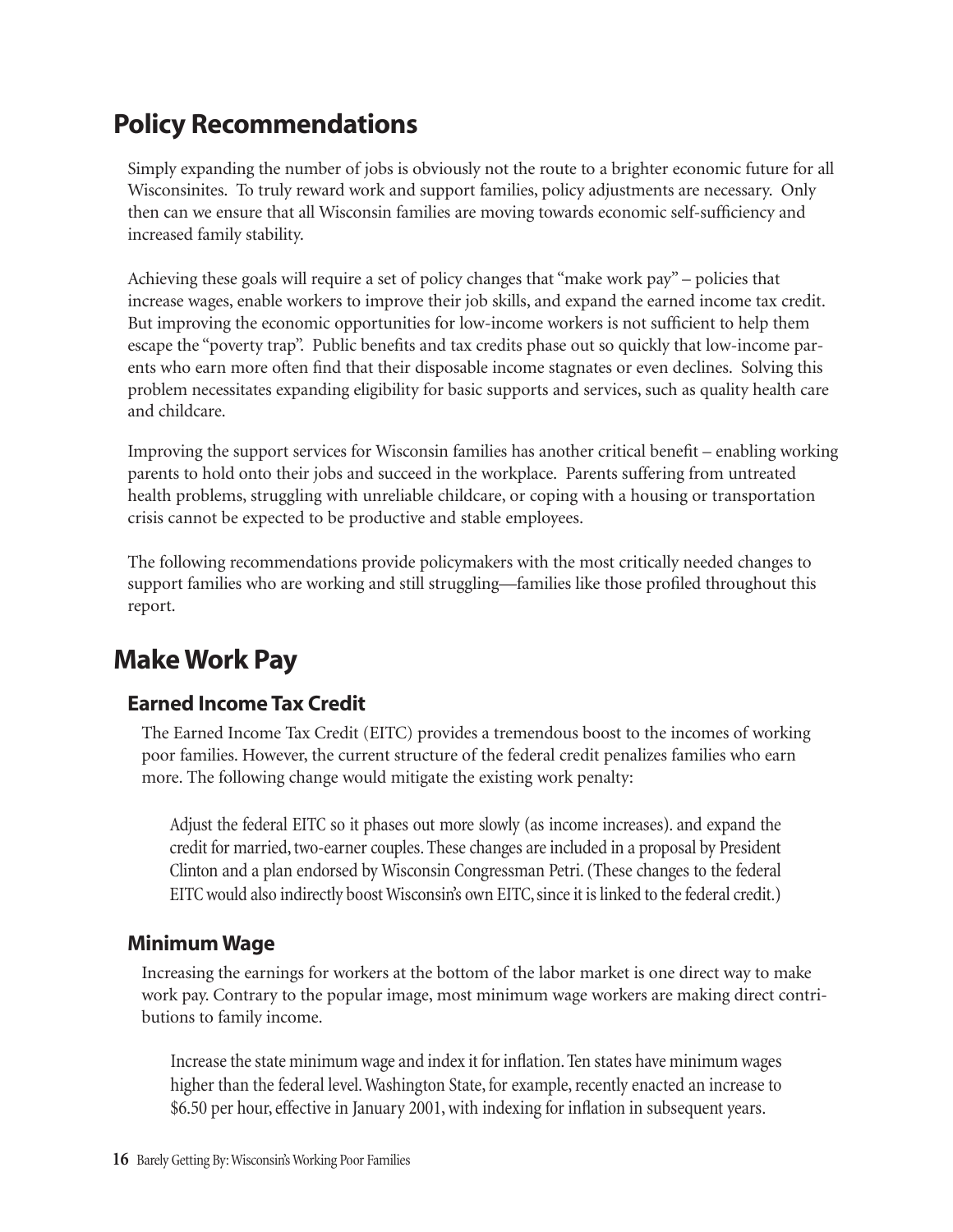## Policy Recommendations

Simply expanding the number of jobs is obviously not the route to a brighter economic future for all Wisconsinites. To truly reward work and support families, policy adjustments are necessary. Only then can we ensure that all Wisconsin families are moving towards economic self-sufficiency and increased family stability.

Achieving these goals will require a set of policy changes that "make work pay" – policies that increase wages, enable workers to improve their job skills, and expand the earned income tax credit. But improving the economic opportunities for low-income workers is not sufficient to help them escape the "poverty trap". Public benefits and tax credits phase out so quickly that low-income parents who earn more often find that their disposable income stagnates or even declines. Solving this problem necessitates expanding eligibility for basic supports and services, such as quality health care and childcare.

Improving the support services for Wisconsin families has another critical benefit – enabling working parents to hold onto their jobs and succeed in the workplace. Parents suffering from untreated health problems, struggling with unreliable childcare, or coping with a housing or transportation crisis cannot be expected to be productive and stable employees.

The following recommendations provide policymakers with the most critically needed changes to support families who are working and still struggling—families like those profiled throughout this report.

## Make Work Pay

### Earned Income Tax Credit

The Earned Income Tax Credit (EITC) provides a tremendous boost to the incomes of working poor families. However, the current structure of the federal credit penalizes families who earn more. The following change would mitigate the existing work penalty:

Adjust the federal EITC so it phases out more slowly (as income increases). and expand the credit for married, two-earner couples. These changes are included in a proposal by President Clinton and a plan endorsed by Wisconsin Congressman Petri. (These changes to the federal EITC would also indirectly boost Wisconsin's own EITC, since it is linked to the federal credit.)

#### Minimum Wage

Increasing the earnings for workers at the bottom of the labor market is one direct way to make work pay. Contrary to the popular image, most minimum wage workers are making direct contributions to family income.

Increase the state minimum wage and index it for inflation. Ten states have minimum wages higher than the federal level. Washington State, for example, recently enacted an increase to \$6.50 per hour, effective in January 2001, with indexing for inflation in subsequent years.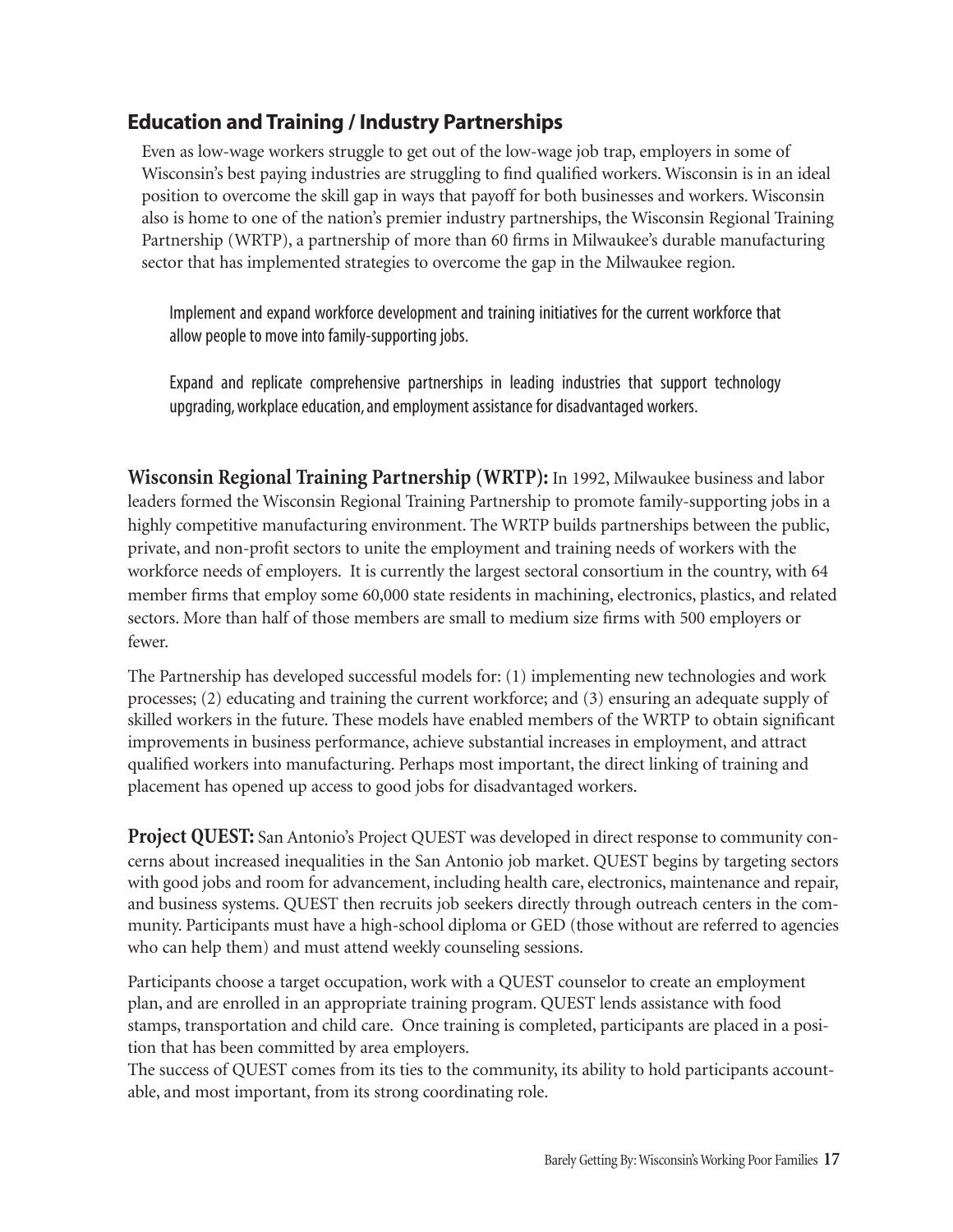### Education and Training / Industry Partnerships

Even as low-wage workers struggle to get out of the low-wage job trap, employers in some of Wisconsin's best paying industries are struggling to find qualified workers. Wisconsin is in an ideal position to overcome the skill gap in ways that payoff for both businesses and workers. Wisconsin also is home to one of the nation's premier industry partnerships, the Wisconsin Regional Training Partnership (WRTP), a partnership of more than 60 firms in Milwaukee's durable manufacturing sector that has implemented strategies to overcome the gap in the Milwaukee region.

Implement and expand workforce development and training initiatives for the current workforce that allow people to move into family-supporting jobs.

Expand and replicate comprehensive partnerships in leading industries that support technology upgrading, workplace education, and employment assistance for disadvantaged workers.

**Wisconsin Regional Training Partnership (WRTP):** In 1992, Milwaukee business and labor leaders formed the Wisconsin Regional Training Partnership to promote family-supporting jobs in a highly competitive manufacturing environment. The WRTP builds partnerships between the public, private, and non-profit sectors to unite the employment and training needs of workers with the workforce needs of employers. It is currently the largest sectoral consortium in the country, with 64 member firms that employ some 60,000 state residents in machining, electronics, plastics, and related sectors. More than half of those members are small to medium size firms with 500 employers or fewer.

The Partnership has developed successful models for: (1) implementing new technologies and work processes; (2) educating and training the current workforce; and (3) ensuring an adequate supply of skilled workers in the future. These models have enabled members of the WRTP to obtain significant improvements in business performance, achieve substantial increases in employment, and attract qualified workers into manufacturing. Perhaps most important, the direct linking of training and placement has opened up access to good jobs for disadvantaged workers.

**Project QUEST:** San Antonio's Project QUEST was developed in direct response to community concerns about increased inequalities in the San Antonio job market. QUEST begins by targeting sectors with good jobs and room for advancement, including health care, electronics, maintenance and repair, and business systems. QUEST then recruits job seekers directly through outreach centers in the community. Participants must have a high-school diploma or GED (those without are referred to agencies who can help them) and must attend weekly counseling sessions.

Participants choose a target occupation, work with a QUEST counselor to create an employment plan, and are enrolled in an appropriate training program. QUEST lends assistance with food stamps, transportation and child care. Once training is completed, participants are placed in a position that has been committed by area employers.

The success of QUEST comes from its ties to the community, its ability to hold participants accountable, and most important, from its strong coordinating role.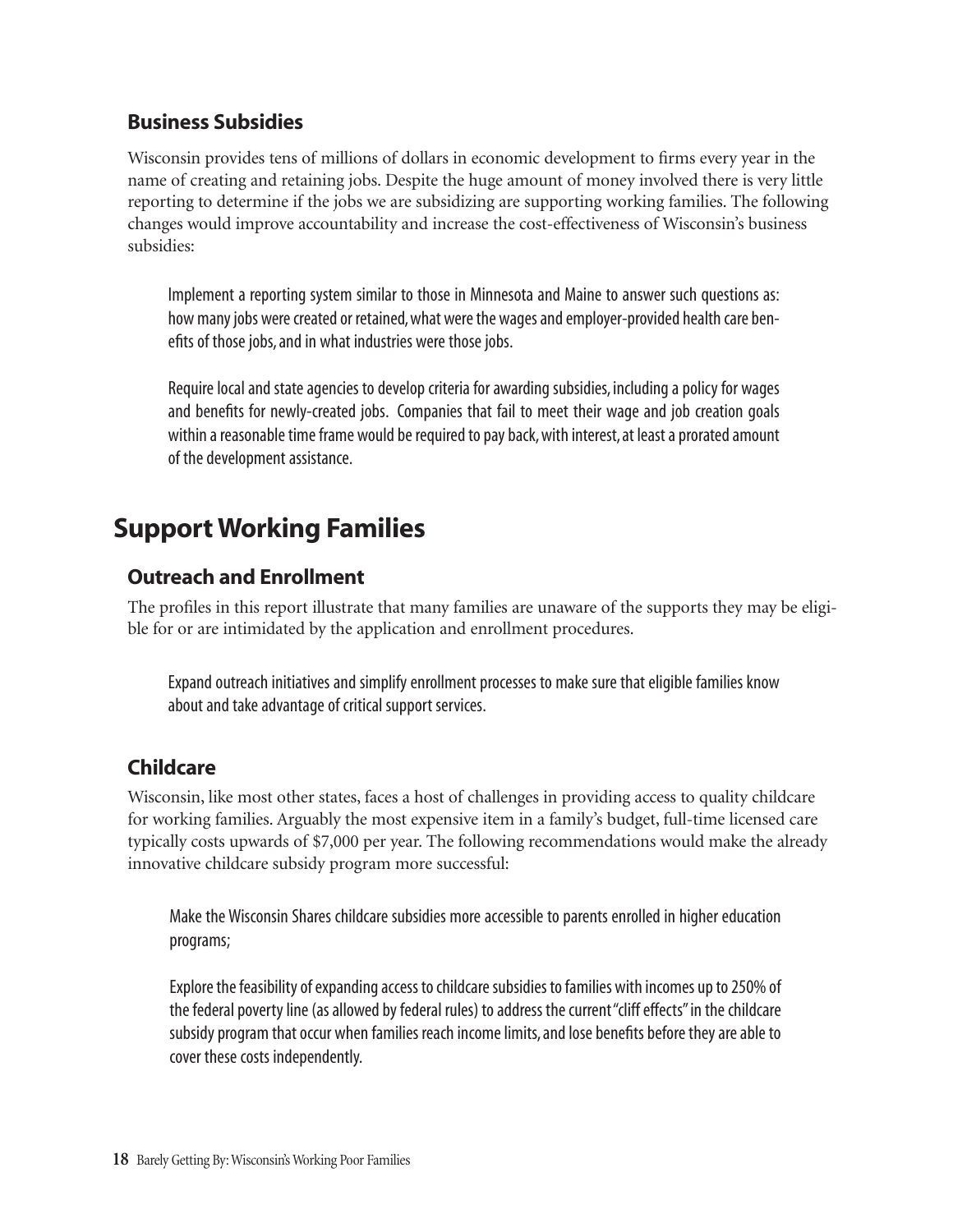#### Business Subsidies

Wisconsin provides tens of millions of dollars in economic development to firms every year in the name of creating and retaining jobs. Despite the huge amount of money involved there is very little reporting to determine if the jobs we are subsidizing are supporting working families. The following changes would improve accountability and increase the cost-effectiveness of Wisconsin's business subsidies:

Implement a reporting system similar to those in Minnesota and Maine to answer such questions as: how many jobs were created or retained, what were the wages and employer-provided health care benefits of those jobs, and in what industries were those jobs.

Require local and state agencies to develop criteria for awarding subsidies, including a policy for wages and benefits for newly-created jobs. Companies that fail to meet their wage and job creation goals within a reasonable time frame would be required to pay back, with interest, at least a prorated amount of the development assistance.

## Support Working Families

### Outreach and Enrollment

The profiles in this report illustrate that many families are unaware of the supports they may be eligible for or are intimidated by the application and enrollment procedures.

Expand outreach initiatives and simplify enrollment processes to make sure that eligible families know about and take advantage of critical support services.

### **Childcare**

Wisconsin, like most other states, faces a host of challenges in providing access to quality childcare for working families. Arguably the most expensive item in a family's budget, full-time licensed care typically costs upwards of \$7,000 per year. The following recommendations would make the already innovative childcare subsidy program more successful:

Make the Wisconsin Shares childcare subsidies more accessible to parents enrolled in higher education programs;

Explore the feasibility of expanding access to childcare subsidies to families with incomes up to 250% of the federal poverty line (as allowed by federal rules) to address the current "cliff effects" in the childcare subsidy program that occur when families reach income limits, and lose benefits before they are able to cover these costs independently.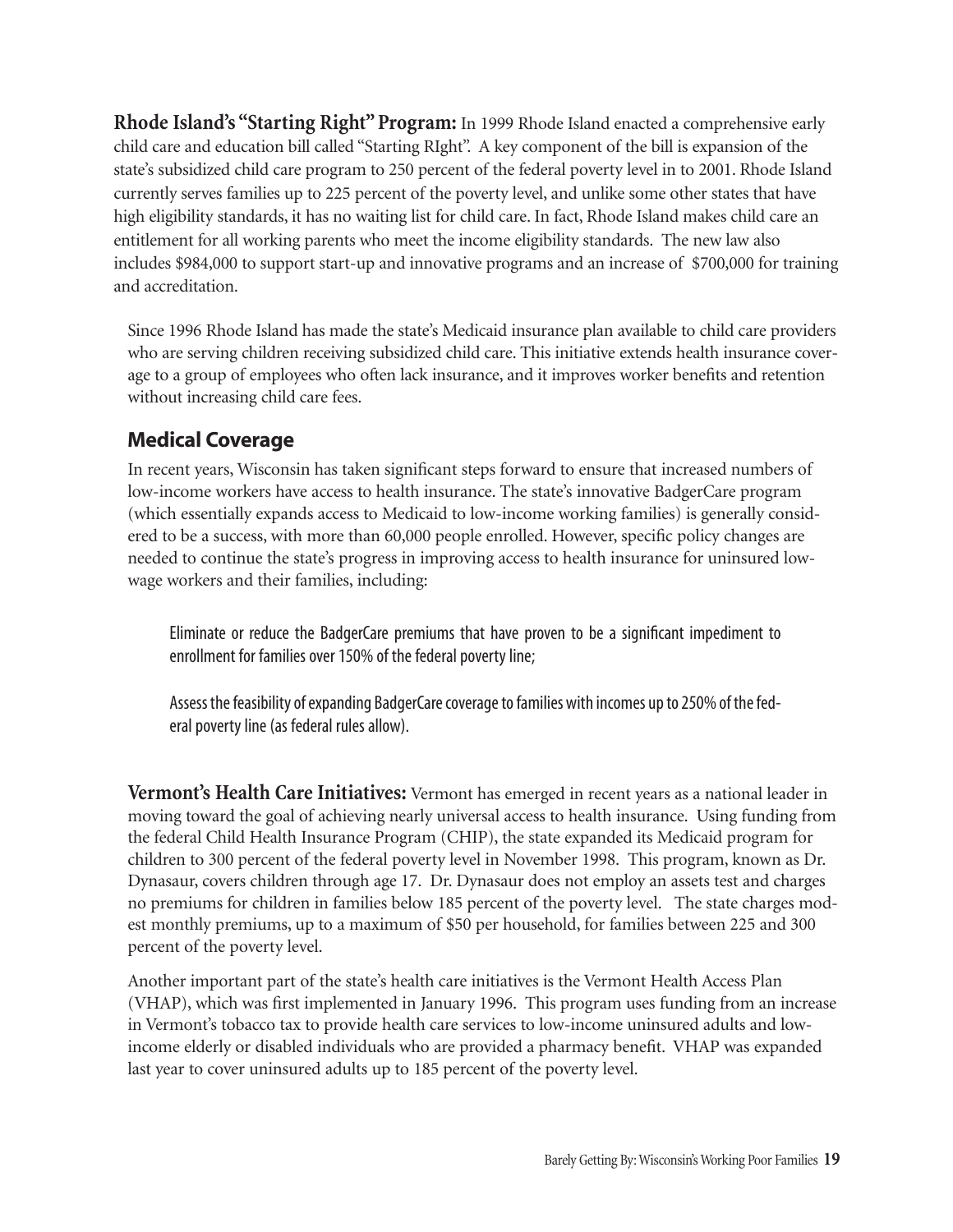**Rhode Island's "Starting Right"Program:** In 1999 Rhode Island enacted a comprehensive early child care and education bill called "Starting RIght". A key component of the bill is expansion of the state's subsidized child care program to 250 percent of the federal poverty level in to 2001. Rhode Island currently serves families up to 225 percent of the poverty level, and unlike some other states that have high eligibility standards, it has no waiting list for child care. In fact, Rhode Island makes child care an entitlement for all working parents who meet the income eligibility standards. The new law also includes \$984,000 to support start-up and innovative programs and an increase of \$700,000 for training and accreditation.

Since 1996 Rhode Island has made the state's Medicaid insurance plan available to child care providers who are serving children receiving subsidized child care. This initiative extends health insurance coverage to a group of employees who often lack insurance, and it improves worker benefits and retention without increasing child care fees.

### Medical Coverage

In recent years, Wisconsin has taken significant steps forward to ensure that increased numbers of low-income workers have access to health insurance. The state's innovative BadgerCare program (which essentially expands access to Medicaid to low-income working families) is generally considered to be a success, with more than 60,000 people enrolled. However, specific policy changes are needed to continue the state's progress in improving access to health insurance for uninsured lowwage workers and their families, including:

Eliminate or reduce the BadgerCare premiums that have proven to be a significant impediment to enrollment for families over 150% of the federal poverty line;

Assess the feasibility of expanding BadgerCare coverage to families with incomes up to 250% of the federal poverty line (as federal rules allow).

**Vermont's Health Care Initiatives:** Vermont has emerged in recent years as a national leader in moving toward the goal of achieving nearly universal access to health insurance. Using funding from the federal Child Health Insurance Program (CHIP), the state expanded its Medicaid program for children to 300 percent of the federal poverty level in November 1998. This program, known as Dr. Dynasaur, covers children through age 17. Dr. Dynasaur does not employ an assets test and charges no premiums for children in families below 185 percent of the poverty level. The state charges modest monthly premiums, up to a maximum of \$50 per household, for families between 225 and 300 percent of the poverty level.

Another important part of the state's health care initiatives is the Vermont Health Access Plan (VHAP), which was first implemented in January 1996. This program uses funding from an increase in Vermont's tobacco tax to provide health care services to low-income uninsured adults and lowincome elderly or disabled individuals who are provided a pharmacy benefit. VHAP was expanded last year to cover uninsured adults up to 185 percent of the poverty level.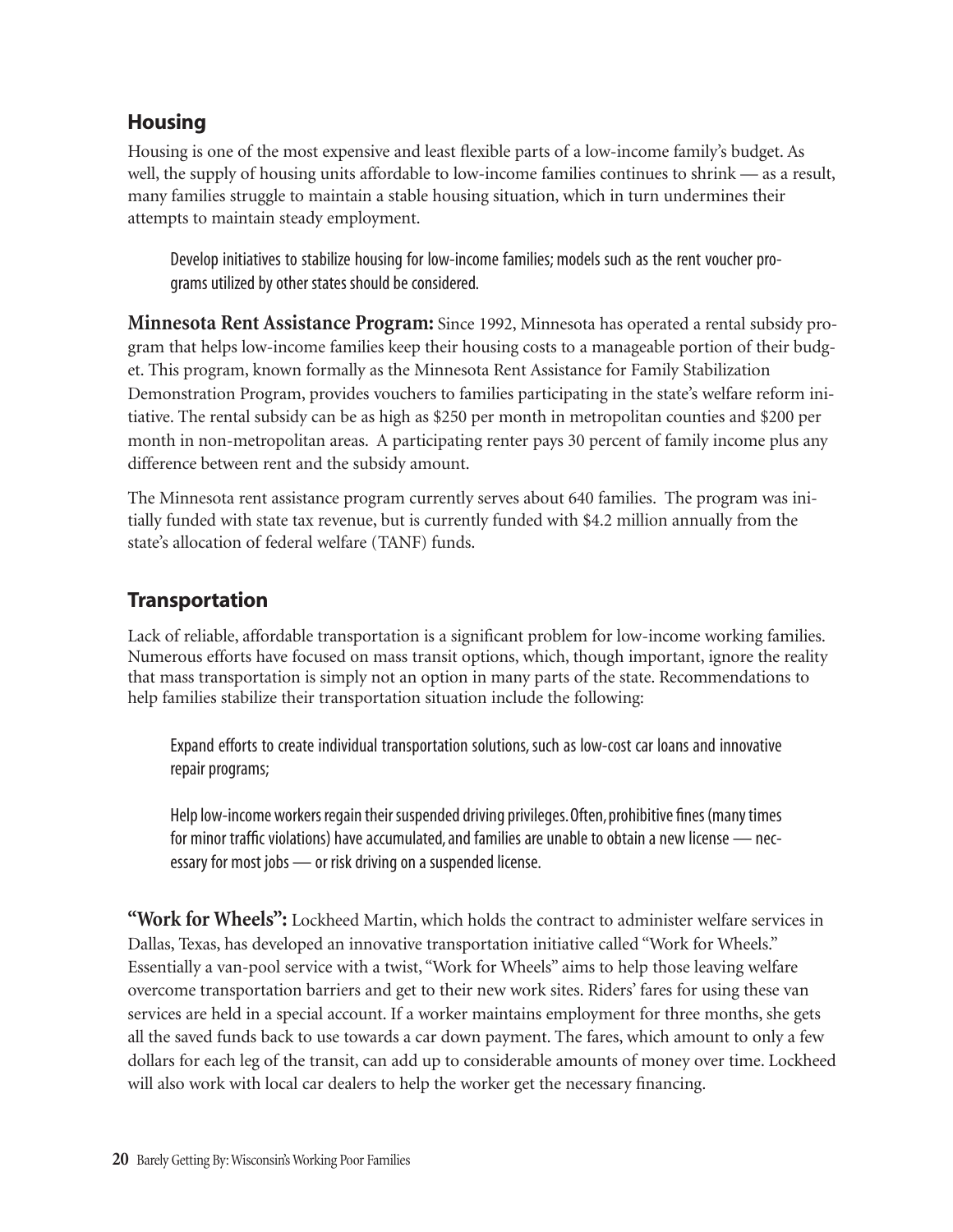### **Housing**

Housing is one of the most expensive and least flexible parts of a low-income family's budget. As well, the supply of housing units affordable to low-income families continues to shrink — as a result, many families struggle to maintain a stable housing situation, which in turn undermines their attempts to maintain steady employment.

Develop initiatives to stabilize housing for low-income families; models such as the rent voucher programs utilized by other states should be considered.

**Minnesota Rent Assistance Program:** Since 1992, Minnesota has operated a rental subsidy program that helps low-income families keep their housing costs to a manageable portion of their budget. This program, known formally as the Minnesota Rent Assistance for Family Stabilization Demonstration Program, provides vouchers to families participating in the state's welfare reform initiative. The rental subsidy can be as high as \$250 per month in metropolitan counties and \$200 per month in non-metropolitan areas. A participating renter pays 30 percent of family income plus any difference between rent and the subsidy amount.

The Minnesota rent assistance program currently serves about 640 families. The program was initially funded with state tax revenue, but is currently funded with \$4.2 million annually from the state's allocation of federal welfare (TANF) funds.

### **Transportation**

Lack of reliable, affordable transportation is a significant problem for low-income working families. Numerous efforts have focused on mass transit options, which, though important, ignore the reality that mass transportation is simply not an option in many parts of the state. Recommendations to help families stabilize their transportation situation include the following:

Expand efforts to create individual transportation solutions, such as low-cost car loans and innovative repair programs;

Help low-income workers regain their suspended driving privileges.Often, prohibitive fines (many times for minor traffic violations) have accumulated, and families are unable to obtain a new license — necessary for most jobs — or risk driving on a suspended license.

**"Work for Wheels":** Lockheed Martin, which holds the contract to administer welfare services in Dallas, Texas, has developed an innovative transportation initiative called "Work for Wheels." Essentially a van-pool service with a twist, "Work for Wheels" aims to help those leaving welfare overcome transportation barriers and get to their new work sites. Riders' fares for using these van services are held in a special account. If a worker maintains employment for three months, she gets all the saved funds back to use towards a car down payment. The fares, which amount to only a few dollars for each leg of the transit, can add up to considerable amounts of money over time. Lockheed will also work with local car dealers to help the worker get the necessary financing.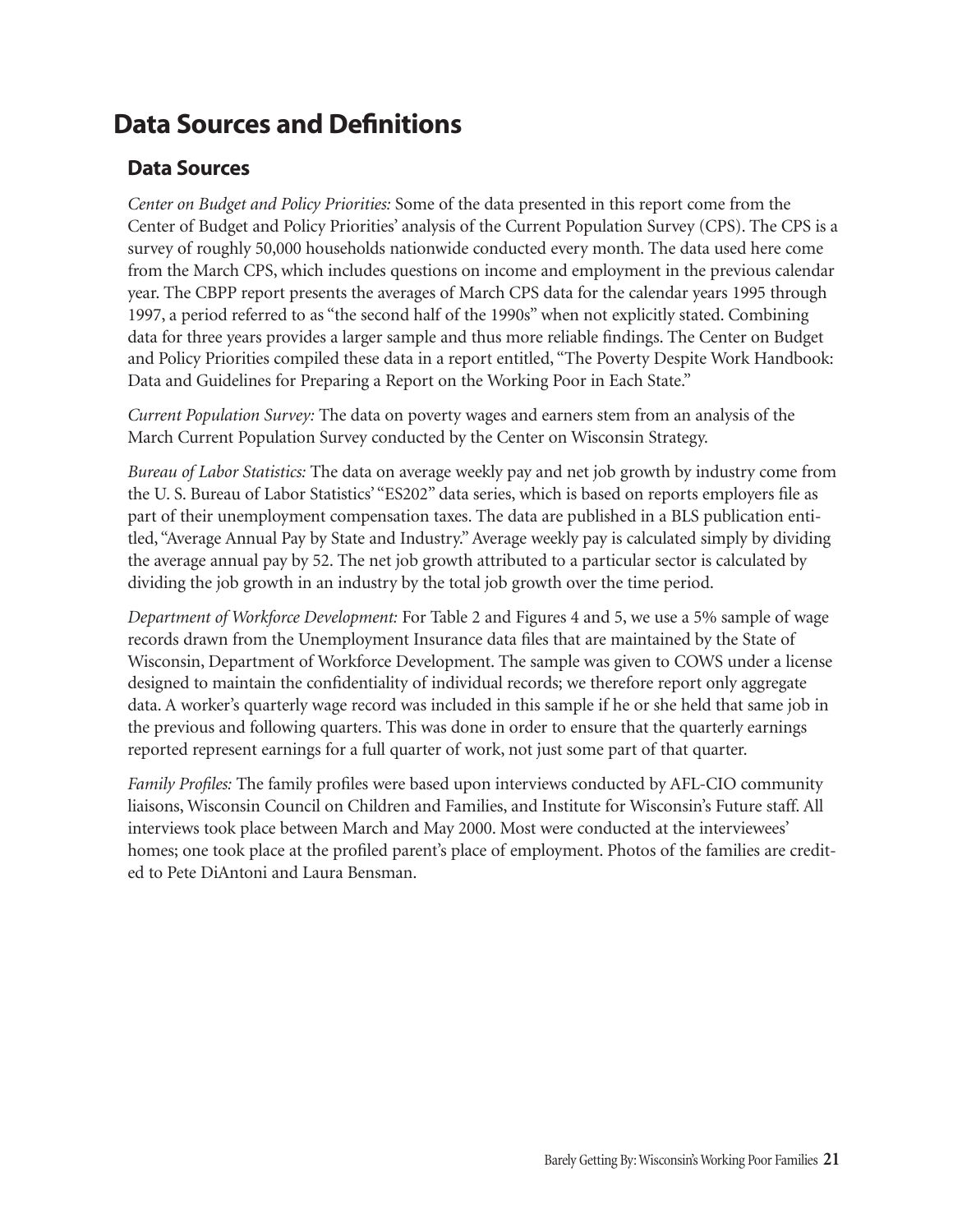## Data Sources and Definitions

#### Data Sources

*Center on Budget and Policy Priorities:* Some of the data presented in this report come from the Center of Budget and Policy Priorities' analysis of the Current Population Survey (CPS). The CPS is a survey of roughly 50,000 households nationwide conducted every month. The data used here come from the March CPS, which includes questions on income and employment in the previous calendar year. The CBPP report presents the averages of March CPS data for the calendar years 1995 through 1997, a period referred to as "the second half of the 1990s" when not explicitly stated. Combining data for three years provides a larger sample and thus more reliable findings. The Center on Budget and Policy Priorities compiled these data in a report entitled, "The Poverty Despite Work Handbook: Data and Guidelines for Preparing a Report on the Working Poor in Each State."

*Current Population Survey:* The data on poverty wages and earners stem from an analysis of the March Current Population Survey conducted by the Center on Wisconsin Strategy.

*Bureau of Labor Statistics:* The data on average weekly pay and net job growth by industry come from the U. S. Bureau of Labor Statistics' "ES202" data series, which is based on reports employers file as part of their unemployment compensation taxes. The data are published in a BLS publication entitled, "Average Annual Pay by State and Industry." Average weekly pay is calculated simply by dividing the average annual pay by 52. The net job growth attributed to a particular sector is calculated by dividing the job growth in an industry by the total job growth over the time period.

*Department of Workforce Development:* For Table 2 and Figures 4 and 5, we use a 5% sample of wage records drawn from the Unemployment Insurance data files that are maintained by the State of Wisconsin, Department of Workforce Development. The sample was given to COWS under a license designed to maintain the confidentiality of individual records; we therefore report only aggregate data. A worker's quarterly wage record was included in this sample if he or she held that same job in the previous and following quarters. This was done in order to ensure that the quarterly earnings reported represent earnings for a full quarter of work, not just some part of that quarter.

*Family Profiles:* The family profiles were based upon interviews conducted by AFL-CIO community liaisons, Wisconsin Council on Children and Families, and Institute for Wisconsin's Future staff. All interviews took place between March and May 2000. Most were conducted at the interviewees' homes; one took place at the profiled parent's place of employment. Photos of the families are credited to Pete DiAntoni and Laura Bensman.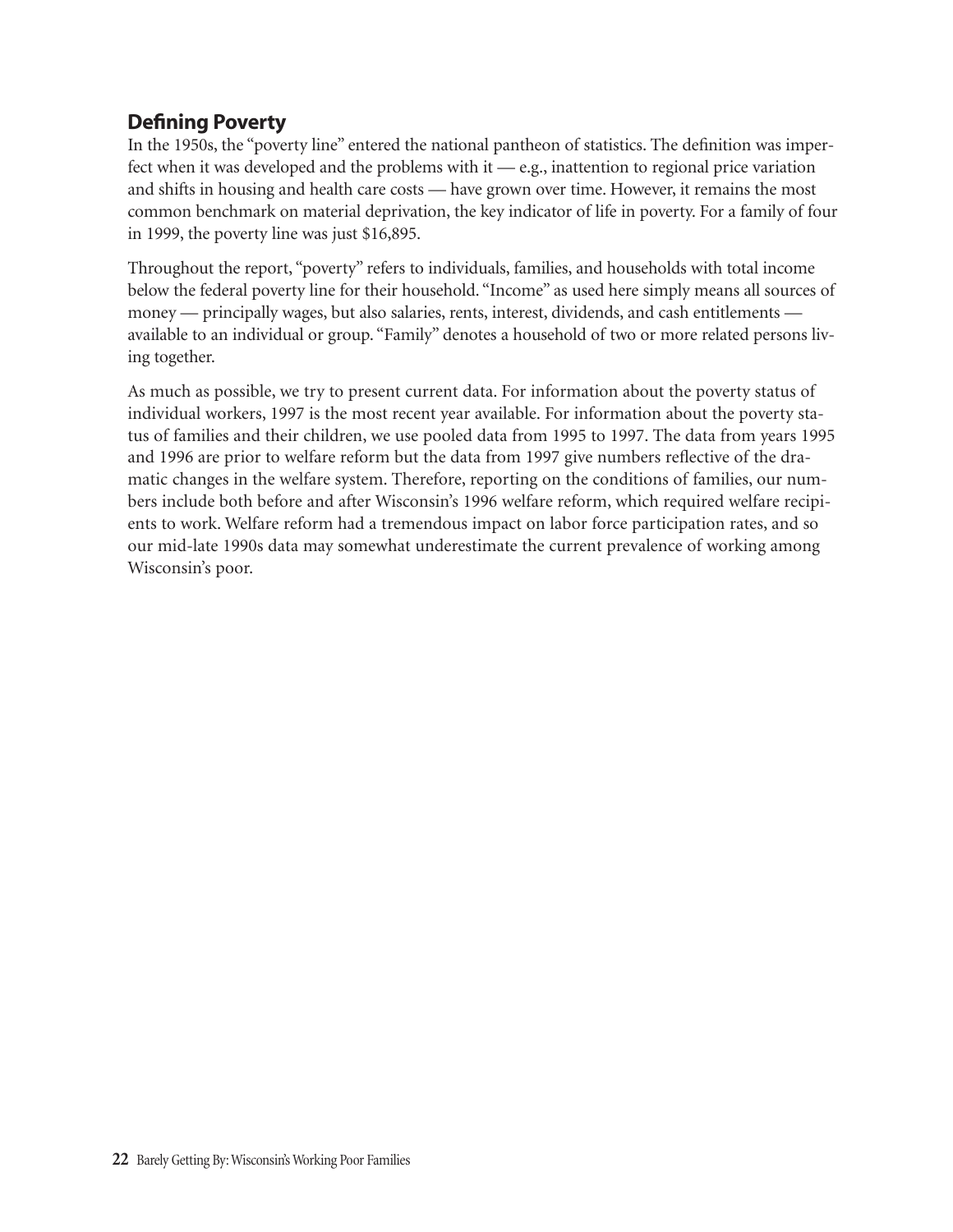### Defining Poverty

In the 1950s, the "poverty line" entered the national pantheon of statistics. The definition was imperfect when it was developed and the problems with it — e.g., inattention to regional price variation and shifts in housing and health care costs — have grown over time. However, it remains the most common benchmark on material deprivation, the key indicator of life in poverty. For a family of four in 1999, the poverty line was just \$16,895.

Throughout the report, "poverty" refers to individuals, families, and households with total income below the federal poverty line for their household. "Income" as used here simply means all sources of money — principally wages, but also salaries, rents, interest, dividends, and cash entitlements available to an individual or group. "Family" denotes a household of two or more related persons living together.

As much as possible, we try to present current data. For information about the poverty status of individual workers, 1997 is the most recent year available. For information about the poverty status of families and their children, we use pooled data from 1995 to 1997. The data from years 1995 and 1996 are prior to welfare reform but the data from 1997 give numbers reflective of the dramatic changes in the welfare system. Therefore, reporting on the conditions of families, our numbers include both before and after Wisconsin's 1996 welfare reform, which required welfare recipients to work. Welfare reform had a tremendous impact on labor force participation rates, and so our mid-late 1990s data may somewhat underestimate the current prevalence of working among Wisconsin's poor.